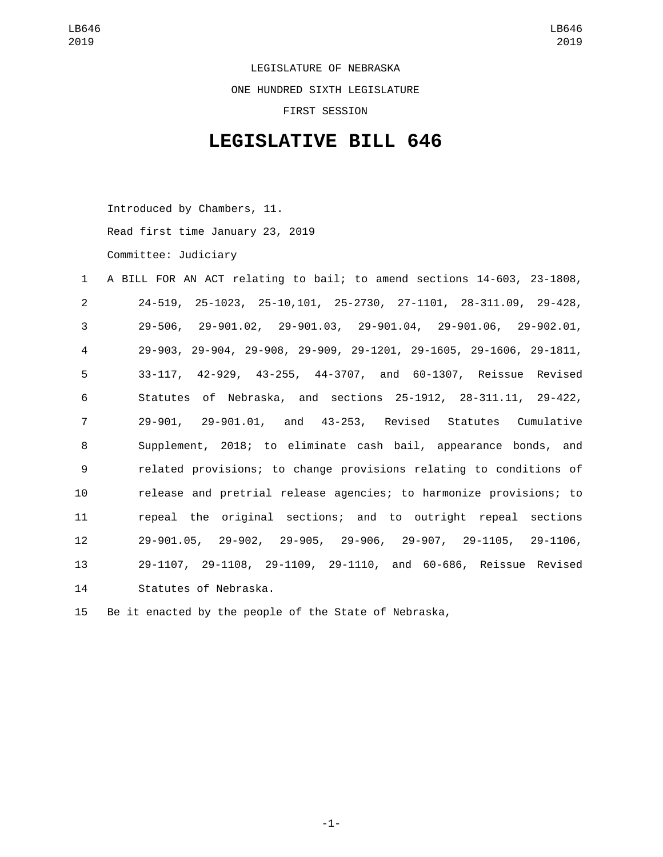LEGISLATURE OF NEBRASKA ONE HUNDRED SIXTH LEGISLATURE FIRST SESSION

## **LEGISLATIVE BILL 646**

Introduced by Chambers, 11.

Read first time January 23, 2019

Committee: Judiciary

| $\mathbf{1}$   | A BILL FOR AN ACT relating to bail; to amend sections 14-603, 23-1808,           |
|----------------|----------------------------------------------------------------------------------|
| $\overline{2}$ | 24-519, 25-1023, 25-10, 101, 25-2730, 27-1101, 28-311.09, 29-428,                |
| 3              | $29-506$ , $29-901.02$ , $29-901.03$ , $29-901.04$ , $29-901.06$ , $29-902.01$ , |
| 4              | 29-903, 29-904, 29-908, 29-909, 29-1201, 29-1605, 29-1606, 29-1811,              |
| 5              | 33-117, 42-929, 43-255, 44-3707, and 60-1307, Reissue Revised                    |
| 6              | Statutes of Nebraska, and sections 25-1912, 28-311.11, 29-422,                   |
| $\overline{7}$ | 29-901, 29-901.01, and 43-253, Revised Statutes Cumulative                       |
| 8              | Supplement, 2018; to eliminate cash bail, appearance bonds, and                  |
| 9              | related provisions; to change provisions relating to conditions of               |
| 10             | release and pretrial release agencies; to harmonize provisions; to               |
| 11             | repeal the original sections; and to outright repeal sections                    |
| 12             | 29-901.05, 29-902, 29-905, 29-906, 29-907, 29-1105, 29-1106,                     |
| 13             | 29-1107, 29-1108, 29-1109, 29-1110, and 60-686, Reissue Revised                  |
| 14             | Statutes of Nebraska.                                                            |

15 Be it enacted by the people of the State of Nebraska,

-1-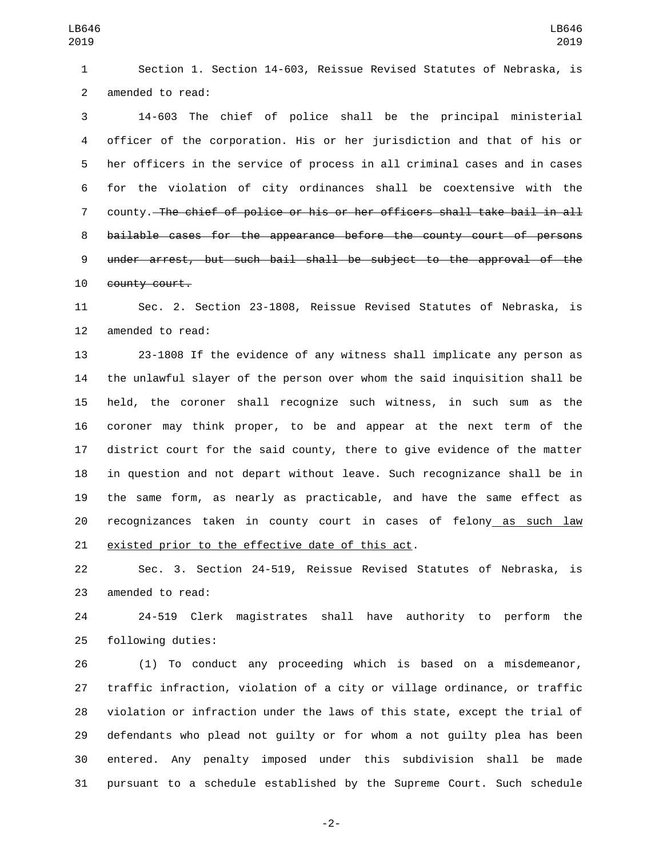Section 1. Section 14-603, Reissue Revised Statutes of Nebraska, is 2 amended to read:

 14-603 The chief of police shall be the principal ministerial officer of the corporation. His or her jurisdiction and that of his or her officers in the service of process in all criminal cases and in cases for the violation of city ordinances shall be coextensive with the county. The chief of police or his or her officers shall take bail in all bailable cases for the appearance before the county court of persons under arrest, but such bail shall be subject to the approval of the 10 county court.

 Sec. 2. Section 23-1808, Reissue Revised Statutes of Nebraska, is 12 amended to read:

 23-1808 If the evidence of any witness shall implicate any person as the unlawful slayer of the person over whom the said inquisition shall be held, the coroner shall recognize such witness, in such sum as the coroner may think proper, to be and appear at the next term of the district court for the said county, there to give evidence of the matter in question and not depart without leave. Such recognizance shall be in the same form, as nearly as practicable, and have the same effect as recognizances taken in county court in cases of felony as such law 21 existed prior to the effective date of this act.

 Sec. 3. Section 24-519, Reissue Revised Statutes of Nebraska, is 23 amended to read:

 24-519 Clerk magistrates shall have authority to perform the 25 following duties:

 (1) To conduct any proceeding which is based on a misdemeanor, traffic infraction, violation of a city or village ordinance, or traffic violation or infraction under the laws of this state, except the trial of defendants who plead not guilty or for whom a not guilty plea has been entered. Any penalty imposed under this subdivision shall be made pursuant to a schedule established by the Supreme Court. Such schedule

-2-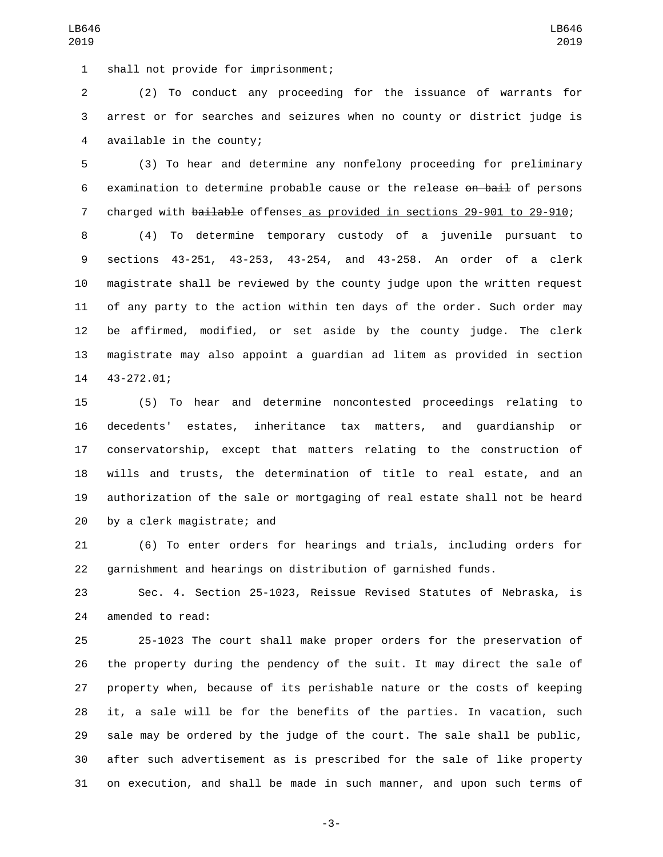LB646

 (2) To conduct any proceeding for the issuance of warrants for arrest or for searches and seizures when no county or district judge is 4 available in the county;

 (3) To hear and determine any nonfelony proceeding for preliminary 6 examination to determine probable cause or the release on bail of persons charged with bailable offenses as provided in sections 29-901 to 29-910;

 (4) To determine temporary custody of a juvenile pursuant to sections 43-251, 43-253, 43-254, and 43-258. An order of a clerk magistrate shall be reviewed by the county judge upon the written request of any party to the action within ten days of the order. Such order may be affirmed, modified, or set aside by the county judge. The clerk magistrate may also appoint a guardian ad litem as provided in section 14 43-272.01;

 (5) To hear and determine noncontested proceedings relating to decedents' estates, inheritance tax matters, and guardianship or conservatorship, except that matters relating to the construction of wills and trusts, the determination of title to real estate, and an authorization of the sale or mortgaging of real estate shall not be heard 20 by a clerk magistrate; and

 (6) To enter orders for hearings and trials, including orders for garnishment and hearings on distribution of garnished funds.

 Sec. 4. Section 25-1023, Reissue Revised Statutes of Nebraska, is 24 amended to read:

 25-1023 The court shall make proper orders for the preservation of the property during the pendency of the suit. It may direct the sale of property when, because of its perishable nature or the costs of keeping it, a sale will be for the benefits of the parties. In vacation, such sale may be ordered by the judge of the court. The sale shall be public, after such advertisement as is prescribed for the sale of like property on execution, and shall be made in such manner, and upon such terms of

-3-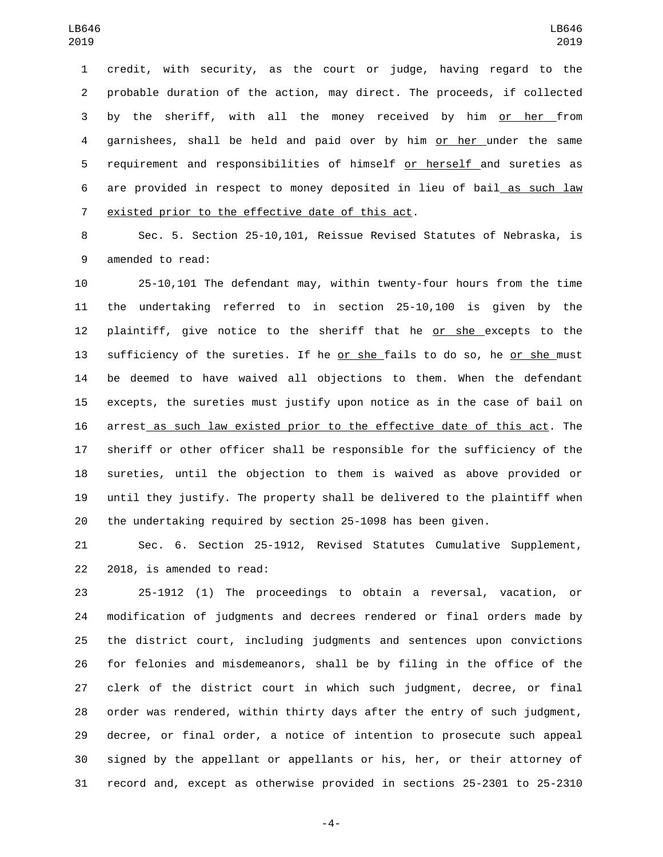credit, with security, as the court or judge, having regard to the probable duration of the action, may direct. The proceeds, if collected by the sheriff, with all the money received by him or her from garnishees, shall be held and paid over by him or her under the same requirement and responsibilities of himself or herself and sureties as are provided in respect to money deposited in lieu of bail as such law 7 existed prior to the effective date of this act.

 Sec. 5. Section 25-10,101, Reissue Revised Statutes of Nebraska, is 9 amended to read:

 25-10,101 The defendant may, within twenty-four hours from the time the undertaking referred to in section 25-10,100 is given by the plaintiff, give notice to the sheriff that he or she excepts to the 13 sufficiency of the sureties. If he or she fails to do so, he or she must be deemed to have waived all objections to them. When the defendant excepts, the sureties must justify upon notice as in the case of bail on arrest as such law existed prior to the effective date of this act. The sheriff or other officer shall be responsible for the sufficiency of the sureties, until the objection to them is waived as above provided or until they justify. The property shall be delivered to the plaintiff when the undertaking required by section 25-1098 has been given.

 Sec. 6. Section 25-1912, Revised Statutes Cumulative Supplement, 22 2018, is amended to read:

 25-1912 (1) The proceedings to obtain a reversal, vacation, or modification of judgments and decrees rendered or final orders made by the district court, including judgments and sentences upon convictions for felonies and misdemeanors, shall be by filing in the office of the clerk of the district court in which such judgment, decree, or final order was rendered, within thirty days after the entry of such judgment, decree, or final order, a notice of intention to prosecute such appeal signed by the appellant or appellants or his, her, or their attorney of record and, except as otherwise provided in sections 25-2301 to 25-2310

-4-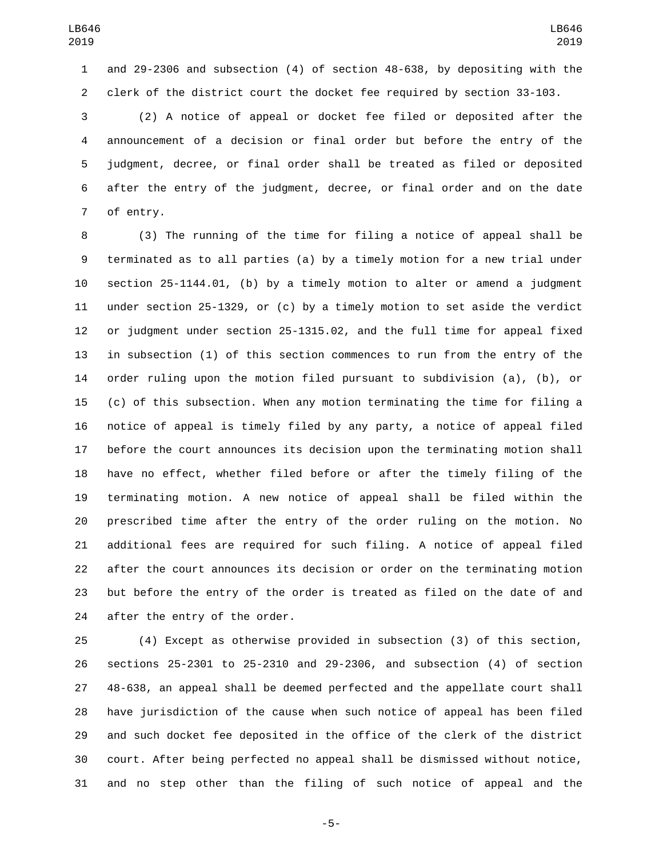and 29-2306 and subsection (4) of section 48-638, by depositing with the clerk of the district court the docket fee required by section 33-103.

 (2) A notice of appeal or docket fee filed or deposited after the announcement of a decision or final order but before the entry of the judgment, decree, or final order shall be treated as filed or deposited after the entry of the judgment, decree, or final order and on the date 7 of entry.

 (3) The running of the time for filing a notice of appeal shall be terminated as to all parties (a) by a timely motion for a new trial under section 25-1144.01, (b) by a timely motion to alter or amend a judgment under section 25-1329, or (c) by a timely motion to set aside the verdict or judgment under section 25-1315.02, and the full time for appeal fixed in subsection (1) of this section commences to run from the entry of the order ruling upon the motion filed pursuant to subdivision (a), (b), or (c) of this subsection. When any motion terminating the time for filing a notice of appeal is timely filed by any party, a notice of appeal filed before the court announces its decision upon the terminating motion shall have no effect, whether filed before or after the timely filing of the terminating motion. A new notice of appeal shall be filed within the prescribed time after the entry of the order ruling on the motion. No additional fees are required for such filing. A notice of appeal filed after the court announces its decision or order on the terminating motion but before the entry of the order is treated as filed on the date of and 24 after the entry of the order.

 (4) Except as otherwise provided in subsection (3) of this section, sections 25-2301 to 25-2310 and 29-2306, and subsection (4) of section 48-638, an appeal shall be deemed perfected and the appellate court shall have jurisdiction of the cause when such notice of appeal has been filed and such docket fee deposited in the office of the clerk of the district court. After being perfected no appeal shall be dismissed without notice, and no step other than the filing of such notice of appeal and the

-5-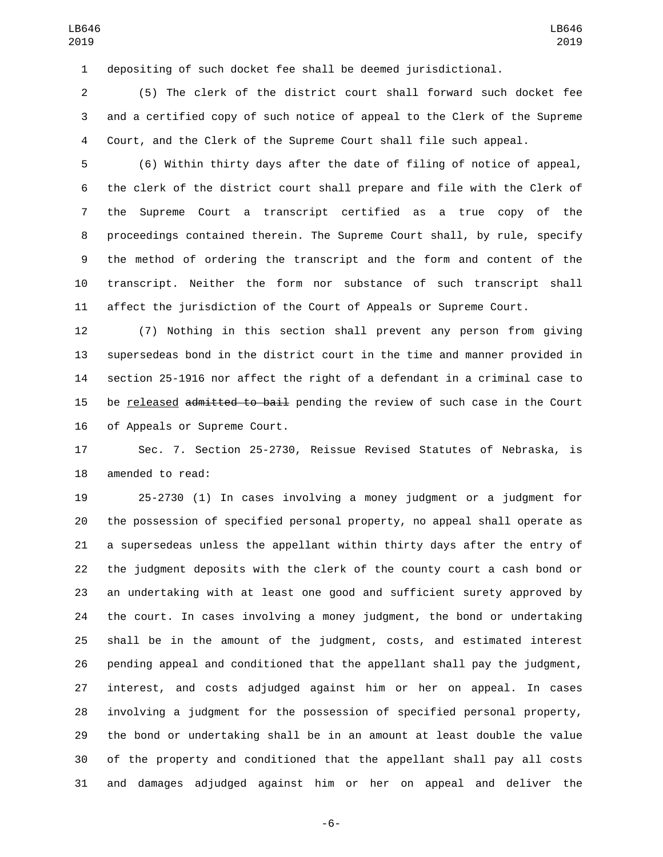depositing of such docket fee shall be deemed jurisdictional.

 (5) The clerk of the district court shall forward such docket fee and a certified copy of such notice of appeal to the Clerk of the Supreme Court, and the Clerk of the Supreme Court shall file such appeal.

 (6) Within thirty days after the date of filing of notice of appeal, the clerk of the district court shall prepare and file with the Clerk of the Supreme Court a transcript certified as a true copy of the proceedings contained therein. The Supreme Court shall, by rule, specify the method of ordering the transcript and the form and content of the transcript. Neither the form nor substance of such transcript shall affect the jurisdiction of the Court of Appeals or Supreme Court.

 (7) Nothing in this section shall prevent any person from giving supersedeas bond in the district court in the time and manner provided in section 25-1916 nor affect the right of a defendant in a criminal case to 15 be released admitted to bail pending the review of such case in the Court 16 of Appeals or Supreme Court.

 Sec. 7. Section 25-2730, Reissue Revised Statutes of Nebraska, is 18 amended to read:

 25-2730 (1) In cases involving a money judgment or a judgment for the possession of specified personal property, no appeal shall operate as a supersedeas unless the appellant within thirty days after the entry of the judgment deposits with the clerk of the county court a cash bond or an undertaking with at least one good and sufficient surety approved by the court. In cases involving a money judgment, the bond or undertaking shall be in the amount of the judgment, costs, and estimated interest pending appeal and conditioned that the appellant shall pay the judgment, interest, and costs adjudged against him or her on appeal. In cases involving a judgment for the possession of specified personal property, the bond or undertaking shall be in an amount at least double the value of the property and conditioned that the appellant shall pay all costs and damages adjudged against him or her on appeal and deliver the

-6-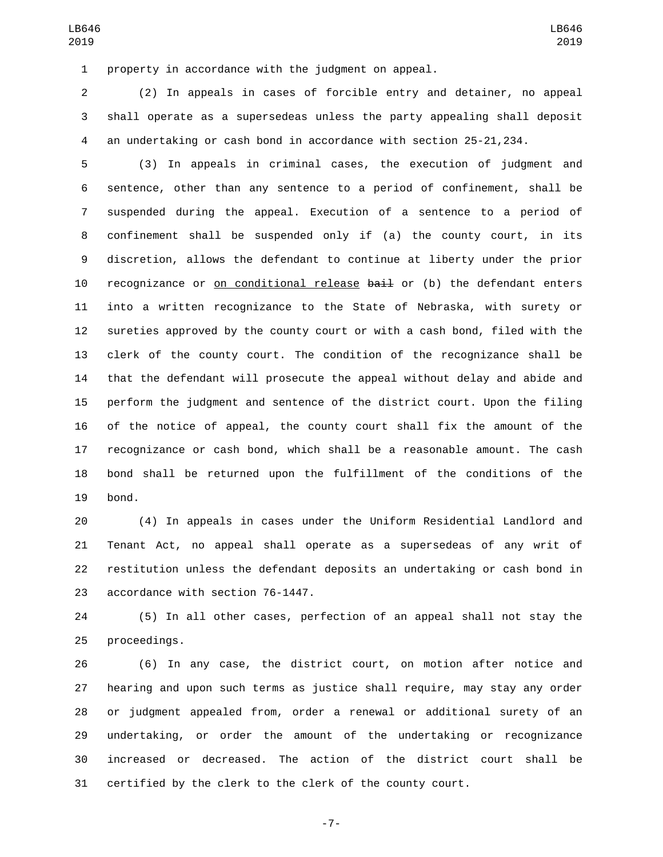property in accordance with the judgment on appeal.

 (2) In appeals in cases of forcible entry and detainer, no appeal shall operate as a supersedeas unless the party appealing shall deposit an undertaking or cash bond in accordance with section 25-21,234.

 (3) In appeals in criminal cases, the execution of judgment and sentence, other than any sentence to a period of confinement, shall be suspended during the appeal. Execution of a sentence to a period of confinement shall be suspended only if (a) the county court, in its discretion, allows the defendant to continue at liberty under the prior 10 recognizance or on conditional release bail or (b) the defendant enters into a written recognizance to the State of Nebraska, with surety or sureties approved by the county court or with a cash bond, filed with the clerk of the county court. The condition of the recognizance shall be that the defendant will prosecute the appeal without delay and abide and perform the judgment and sentence of the district court. Upon the filing of the notice of appeal, the county court shall fix the amount of the recognizance or cash bond, which shall be a reasonable amount. The cash bond shall be returned upon the fulfillment of the conditions of the 19 bond.

 (4) In appeals in cases under the Uniform Residential Landlord and Tenant Act, no appeal shall operate as a supersedeas of any writ of restitution unless the defendant deposits an undertaking or cash bond in 23 accordance with section 76-1447.

 (5) In all other cases, perfection of an appeal shall not stay the 25 proceedings.

 (6) In any case, the district court, on motion after notice and hearing and upon such terms as justice shall require, may stay any order or judgment appealed from, order a renewal or additional surety of an undertaking, or order the amount of the undertaking or recognizance increased or decreased. The action of the district court shall be certified by the clerk to the clerk of the county court.

-7-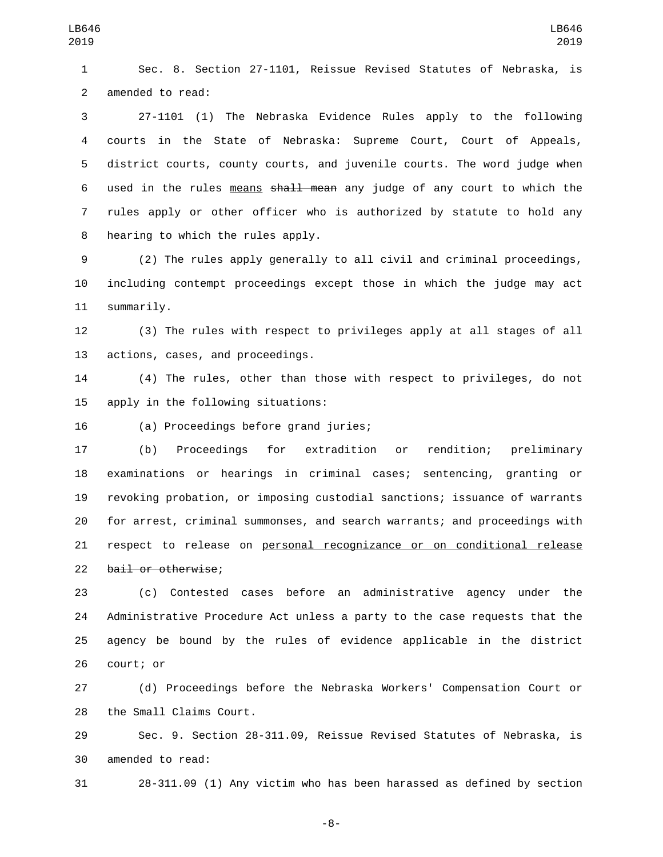Sec. 8. Section 27-1101, Reissue Revised Statutes of Nebraska, is 2 amended to read:

 27-1101 (1) The Nebraska Evidence Rules apply to the following courts in the State of Nebraska: Supreme Court, Court of Appeals, district courts, county courts, and juvenile courts. The word judge when used in the rules means shall mean any judge of any court to which the rules apply or other officer who is authorized by statute to hold any 8 hearing to which the rules apply.

 (2) The rules apply generally to all civil and criminal proceedings, including contempt proceedings except those in which the judge may act 11 summarily.

 (3) The rules with respect to privileges apply at all stages of all 13 actions, cases, and proceedings.

 (4) The rules, other than those with respect to privileges, do not 15 apply in the following situations:

(a) Proceedings before grand juries;16

 (b) Proceedings for extradition or rendition; preliminary examinations or hearings in criminal cases; sentencing, granting or revoking probation, or imposing custodial sanctions; issuance of warrants for arrest, criminal summonses, and search warrants; and proceedings with respect to release on personal recognizance or on conditional release 22 bail or otherwise;

 (c) Contested cases before an administrative agency under the Administrative Procedure Act unless a party to the case requests that the agency be bound by the rules of evidence applicable in the district 26 court; or

 (d) Proceedings before the Nebraska Workers' Compensation Court or 28 the Small Claims Court.

 Sec. 9. Section 28-311.09, Reissue Revised Statutes of Nebraska, is 30 amended to read:

28-311.09 (1) Any victim who has been harassed as defined by section

-8-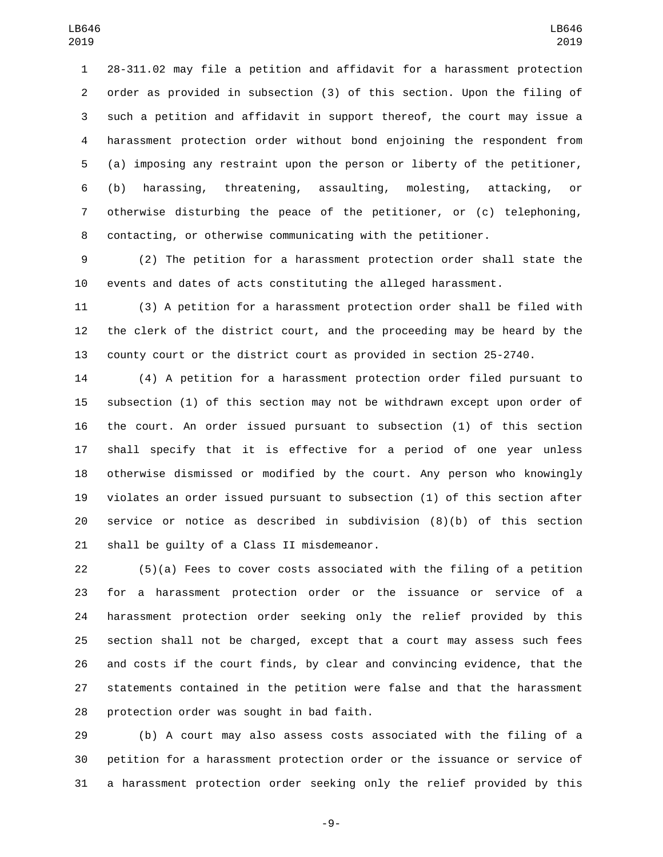28-311.02 may file a petition and affidavit for a harassment protection order as provided in subsection (3) of this section. Upon the filing of such a petition and affidavit in support thereof, the court may issue a harassment protection order without bond enjoining the respondent from (a) imposing any restraint upon the person or liberty of the petitioner, (b) harassing, threatening, assaulting, molesting, attacking, or otherwise disturbing the peace of the petitioner, or (c) telephoning, contacting, or otherwise communicating with the petitioner.

 (2) The petition for a harassment protection order shall state the events and dates of acts constituting the alleged harassment.

 (3) A petition for a harassment protection order shall be filed with the clerk of the district court, and the proceeding may be heard by the county court or the district court as provided in section 25-2740.

 (4) A petition for a harassment protection order filed pursuant to subsection (1) of this section may not be withdrawn except upon order of the court. An order issued pursuant to subsection (1) of this section shall specify that it is effective for a period of one year unless otherwise dismissed or modified by the court. Any person who knowingly violates an order issued pursuant to subsection (1) of this section after service or notice as described in subdivision (8)(b) of this section 21 shall be guilty of a Class II misdemeanor.

 (5)(a) Fees to cover costs associated with the filing of a petition for a harassment protection order or the issuance or service of a harassment protection order seeking only the relief provided by this section shall not be charged, except that a court may assess such fees and costs if the court finds, by clear and convincing evidence, that the statements contained in the petition were false and that the harassment 28 protection order was sought in bad faith.

 (b) A court may also assess costs associated with the filing of a petition for a harassment protection order or the issuance or service of a harassment protection order seeking only the relief provided by this

-9-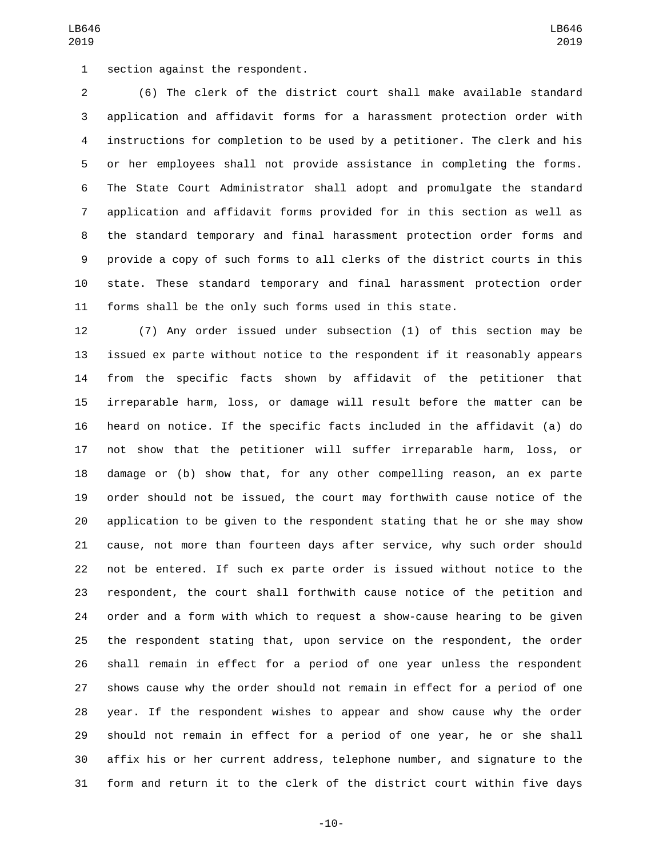1 section against the respondent.

 (6) The clerk of the district court shall make available standard application and affidavit forms for a harassment protection order with instructions for completion to be used by a petitioner. The clerk and his or her employees shall not provide assistance in completing the forms. The State Court Administrator shall adopt and promulgate the standard application and affidavit forms provided for in this section as well as the standard temporary and final harassment protection order forms and provide a copy of such forms to all clerks of the district courts in this state. These standard temporary and final harassment protection order forms shall be the only such forms used in this state.

 (7) Any order issued under subsection (1) of this section may be issued ex parte without notice to the respondent if it reasonably appears from the specific facts shown by affidavit of the petitioner that irreparable harm, loss, or damage will result before the matter can be heard on notice. If the specific facts included in the affidavit (a) do not show that the petitioner will suffer irreparable harm, loss, or damage or (b) show that, for any other compelling reason, an ex parte order should not be issued, the court may forthwith cause notice of the application to be given to the respondent stating that he or she may show cause, not more than fourteen days after service, why such order should not be entered. If such ex parte order is issued without notice to the respondent, the court shall forthwith cause notice of the petition and order and a form with which to request a show-cause hearing to be given the respondent stating that, upon service on the respondent, the order shall remain in effect for a period of one year unless the respondent shows cause why the order should not remain in effect for a period of one year. If the respondent wishes to appear and show cause why the order should not remain in effect for a period of one year, he or she shall affix his or her current address, telephone number, and signature to the form and return it to the clerk of the district court within five days

-10-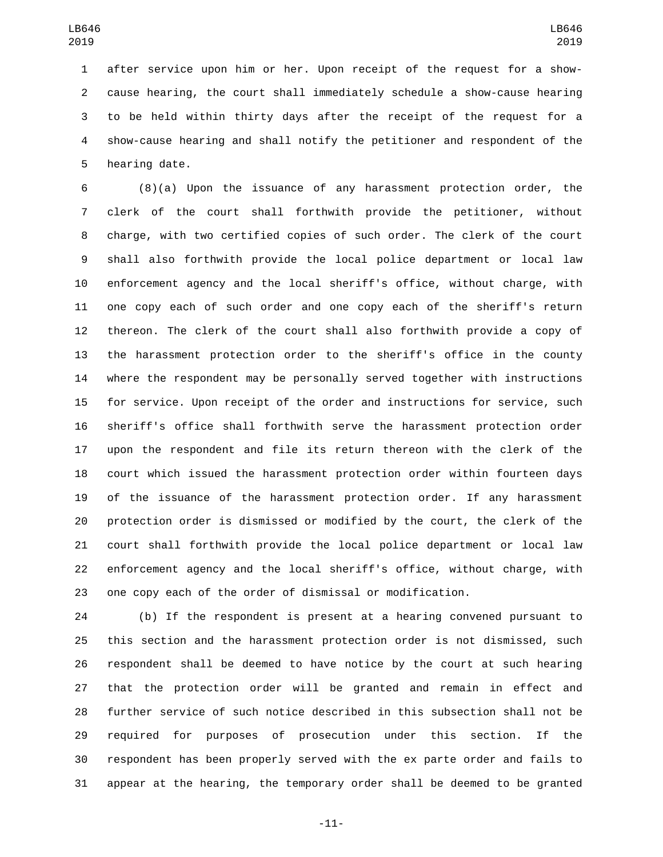after service upon him or her. Upon receipt of the request for a show- cause hearing, the court shall immediately schedule a show-cause hearing to be held within thirty days after the receipt of the request for a show-cause hearing and shall notify the petitioner and respondent of the 5 hearing date.

 (8)(a) Upon the issuance of any harassment protection order, the clerk of the court shall forthwith provide the petitioner, without charge, with two certified copies of such order. The clerk of the court shall also forthwith provide the local police department or local law enforcement agency and the local sheriff's office, without charge, with one copy each of such order and one copy each of the sheriff's return thereon. The clerk of the court shall also forthwith provide a copy of the harassment protection order to the sheriff's office in the county where the respondent may be personally served together with instructions for service. Upon receipt of the order and instructions for service, such sheriff's office shall forthwith serve the harassment protection order upon the respondent and file its return thereon with the clerk of the court which issued the harassment protection order within fourteen days of the issuance of the harassment protection order. If any harassment protection order is dismissed or modified by the court, the clerk of the court shall forthwith provide the local police department or local law enforcement agency and the local sheriff's office, without charge, with one copy each of the order of dismissal or modification.

 (b) If the respondent is present at a hearing convened pursuant to this section and the harassment protection order is not dismissed, such respondent shall be deemed to have notice by the court at such hearing that the protection order will be granted and remain in effect and further service of such notice described in this subsection shall not be required for purposes of prosecution under this section. If the respondent has been properly served with the ex parte order and fails to appear at the hearing, the temporary order shall be deemed to be granted

-11-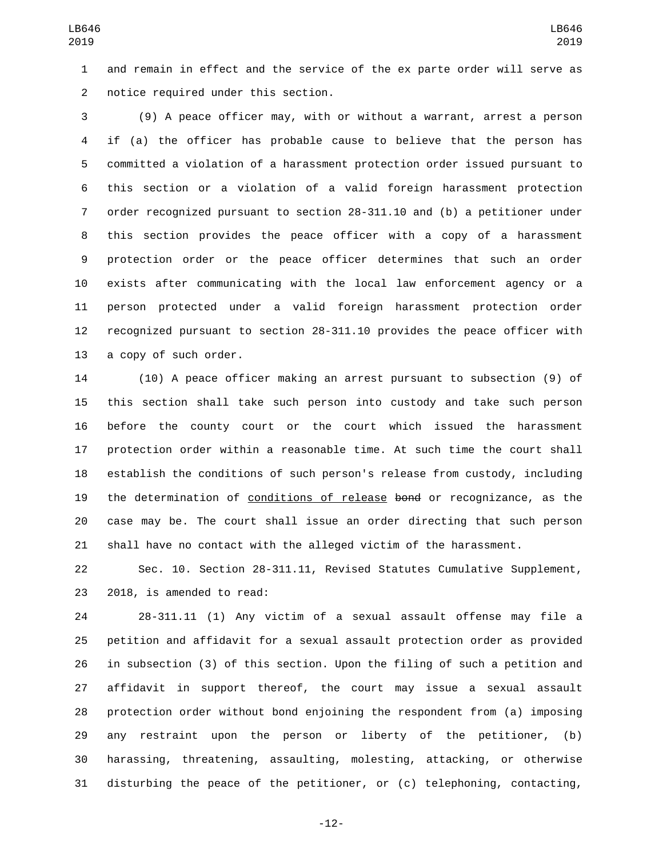and remain in effect and the service of the ex parte order will serve as 2 notice required under this section.

 (9) A peace officer may, with or without a warrant, arrest a person if (a) the officer has probable cause to believe that the person has committed a violation of a harassment protection order issued pursuant to this section or a violation of a valid foreign harassment protection order recognized pursuant to section 28-311.10 and (b) a petitioner under this section provides the peace officer with a copy of a harassment protection order or the peace officer determines that such an order exists after communicating with the local law enforcement agency or a person protected under a valid foreign harassment protection order recognized pursuant to section 28-311.10 provides the peace officer with 13 a copy of such order.

 (10) A peace officer making an arrest pursuant to subsection (9) of this section shall take such person into custody and take such person before the county court or the court which issued the harassment protection order within a reasonable time. At such time the court shall establish the conditions of such person's release from custody, including 19 the determination of conditions of release bond or recognizance, as the case may be. The court shall issue an order directing that such person shall have no contact with the alleged victim of the harassment.

 Sec. 10. Section 28-311.11, Revised Statutes Cumulative Supplement, 23 2018, is amended to read:

 28-311.11 (1) Any victim of a sexual assault offense may file a petition and affidavit for a sexual assault protection order as provided in subsection (3) of this section. Upon the filing of such a petition and affidavit in support thereof, the court may issue a sexual assault protection order without bond enjoining the respondent from (a) imposing any restraint upon the person or liberty of the petitioner, (b) harassing, threatening, assaulting, molesting, attacking, or otherwise disturbing the peace of the petitioner, or (c) telephoning, contacting,

-12-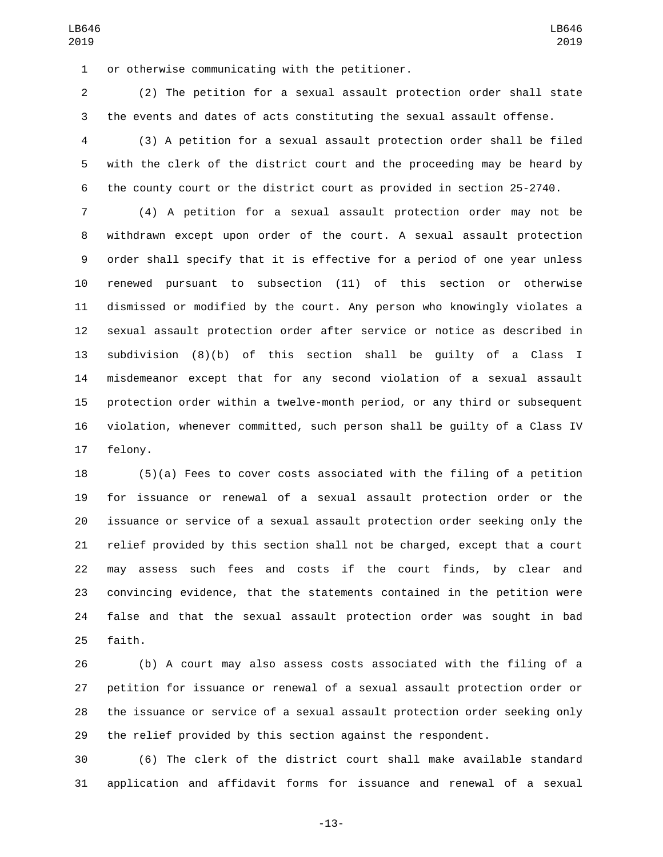1 or otherwise communicating with the petitioner.

 (2) The petition for a sexual assault protection order shall state the events and dates of acts constituting the sexual assault offense.

 (3) A petition for a sexual assault protection order shall be filed with the clerk of the district court and the proceeding may be heard by the county court or the district court as provided in section 25-2740.

 (4) A petition for a sexual assault protection order may not be withdrawn except upon order of the court. A sexual assault protection order shall specify that it is effective for a period of one year unless renewed pursuant to subsection (11) of this section or otherwise dismissed or modified by the court. Any person who knowingly violates a sexual assault protection order after service or notice as described in subdivision (8)(b) of this section shall be guilty of a Class I misdemeanor except that for any second violation of a sexual assault protection order within a twelve-month period, or any third or subsequent violation, whenever committed, such person shall be guilty of a Class IV 17 felony.

 (5)(a) Fees to cover costs associated with the filing of a petition for issuance or renewal of a sexual assault protection order or the issuance or service of a sexual assault protection order seeking only the relief provided by this section shall not be charged, except that a court may assess such fees and costs if the court finds, by clear and convincing evidence, that the statements contained in the petition were false and that the sexual assault protection order was sought in bad 25 faith.

 (b) A court may also assess costs associated with the filing of a petition for issuance or renewal of a sexual assault protection order or the issuance or service of a sexual assault protection order seeking only the relief provided by this section against the respondent.

 (6) The clerk of the district court shall make available standard application and affidavit forms for issuance and renewal of a sexual

-13-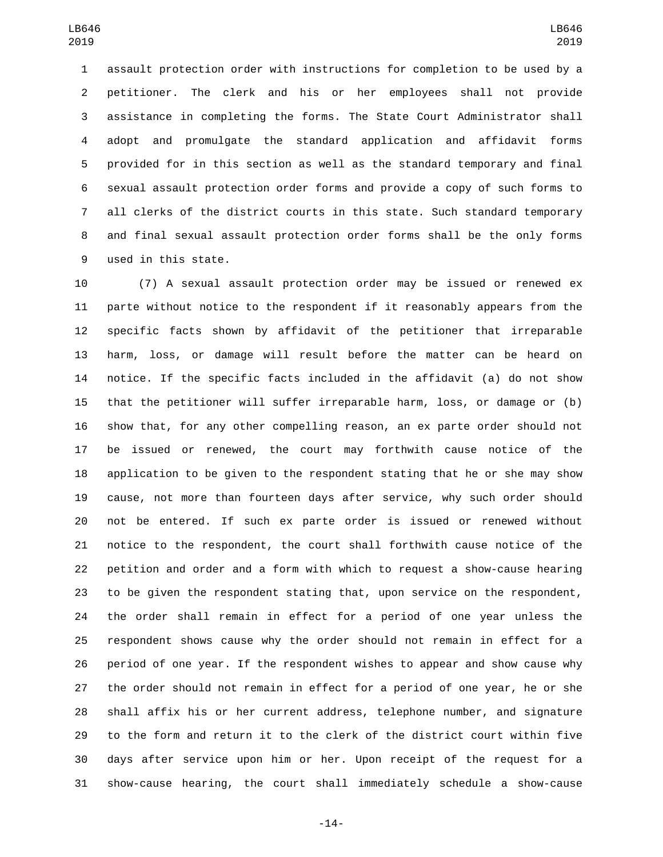assault protection order with instructions for completion to be used by a petitioner. The clerk and his or her employees shall not provide assistance in completing the forms. The State Court Administrator shall adopt and promulgate the standard application and affidavit forms provided for in this section as well as the standard temporary and final sexual assault protection order forms and provide a copy of such forms to all clerks of the district courts in this state. Such standard temporary and final sexual assault protection order forms shall be the only forms 9 used in this state.

 (7) A sexual assault protection order may be issued or renewed ex parte without notice to the respondent if it reasonably appears from the specific facts shown by affidavit of the petitioner that irreparable harm, loss, or damage will result before the matter can be heard on notice. If the specific facts included in the affidavit (a) do not show that the petitioner will suffer irreparable harm, loss, or damage or (b) show that, for any other compelling reason, an ex parte order should not be issued or renewed, the court may forthwith cause notice of the application to be given to the respondent stating that he or she may show cause, not more than fourteen days after service, why such order should not be entered. If such ex parte order is issued or renewed without notice to the respondent, the court shall forthwith cause notice of the petition and order and a form with which to request a show-cause hearing to be given the respondent stating that, upon service on the respondent, the order shall remain in effect for a period of one year unless the respondent shows cause why the order should not remain in effect for a period of one year. If the respondent wishes to appear and show cause why the order should not remain in effect for a period of one year, he or she shall affix his or her current address, telephone number, and signature to the form and return it to the clerk of the district court within five days after service upon him or her. Upon receipt of the request for a show-cause hearing, the court shall immediately schedule a show-cause

-14-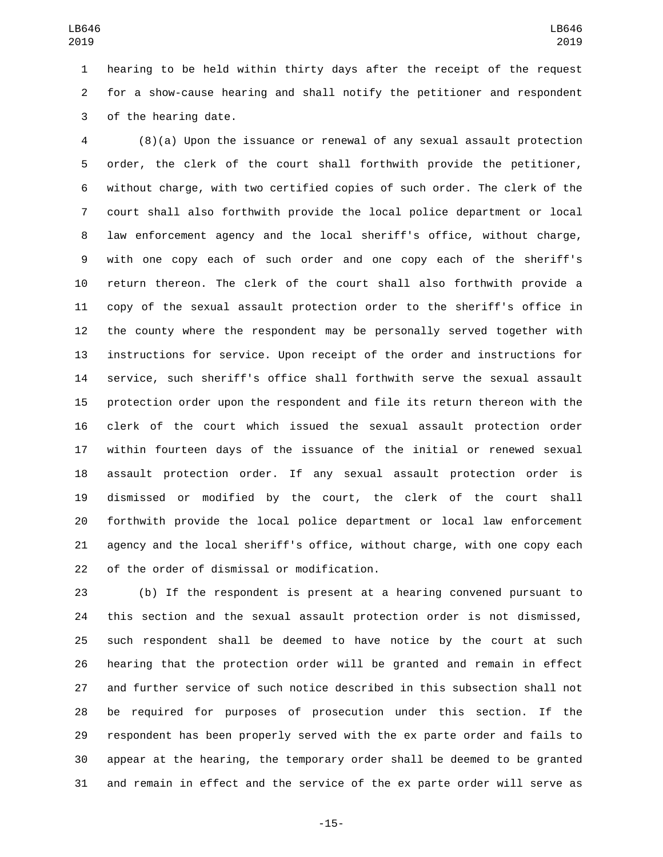hearing to be held within thirty days after the receipt of the request for a show-cause hearing and shall notify the petitioner and respondent 3 of the hearing date.

 (8)(a) Upon the issuance or renewal of any sexual assault protection order, the clerk of the court shall forthwith provide the petitioner, without charge, with two certified copies of such order. The clerk of the court shall also forthwith provide the local police department or local law enforcement agency and the local sheriff's office, without charge, with one copy each of such order and one copy each of the sheriff's return thereon. The clerk of the court shall also forthwith provide a copy of the sexual assault protection order to the sheriff's office in the county where the respondent may be personally served together with instructions for service. Upon receipt of the order and instructions for service, such sheriff's office shall forthwith serve the sexual assault protection order upon the respondent and file its return thereon with the clerk of the court which issued the sexual assault protection order within fourteen days of the issuance of the initial or renewed sexual assault protection order. If any sexual assault protection order is dismissed or modified by the court, the clerk of the court shall forthwith provide the local police department or local law enforcement agency and the local sheriff's office, without charge, with one copy each 22 of the order of dismissal or modification.

 (b) If the respondent is present at a hearing convened pursuant to this section and the sexual assault protection order is not dismissed, such respondent shall be deemed to have notice by the court at such hearing that the protection order will be granted and remain in effect and further service of such notice described in this subsection shall not be required for purposes of prosecution under this section. If the respondent has been properly served with the ex parte order and fails to appear at the hearing, the temporary order shall be deemed to be granted and remain in effect and the service of the ex parte order will serve as

-15-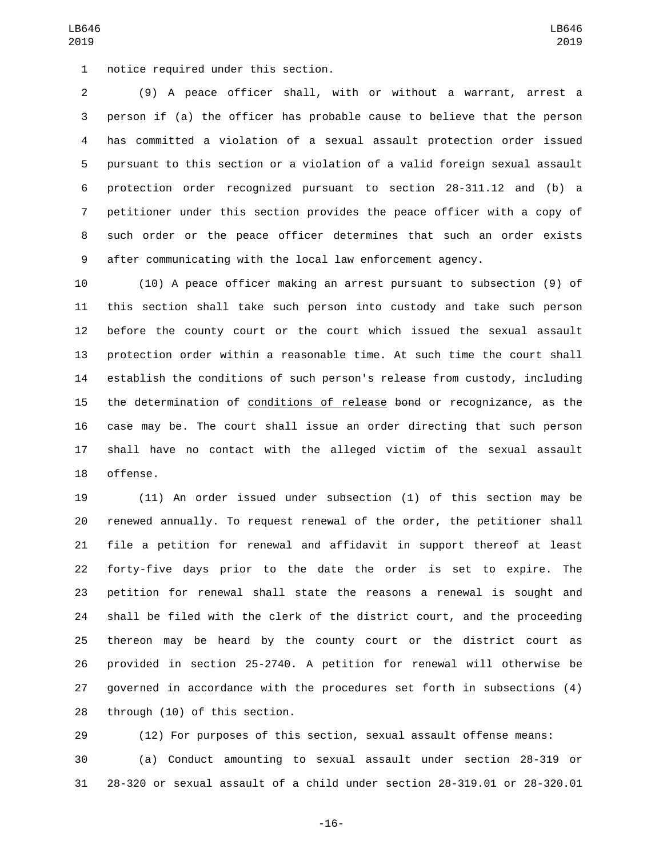LB646 

 pursuant to this section or a violation of a valid foreign sexual assault protection order recognized pursuant to section 28-311.12 and (b) a petitioner under this section provides the peace officer with a copy of such order or the peace officer determines that such an order exists after communicating with the local law enforcement agency.

 (10) A peace officer making an arrest pursuant to subsection (9) of this section shall take such person into custody and take such person before the county court or the court which issued the sexual assault protection order within a reasonable time. At such time the court shall establish the conditions of such person's release from custody, including the determination of conditions of release bond or recognizance, as the case may be. The court shall issue an order directing that such person shall have no contact with the alleged victim of the sexual assault 18 offense.

 (11) An order issued under subsection (1) of this section may be renewed annually. To request renewal of the order, the petitioner shall file a petition for renewal and affidavit in support thereof at least forty-five days prior to the date the order is set to expire. The petition for renewal shall state the reasons a renewal is sought and shall be filed with the clerk of the district court, and the proceeding thereon may be heard by the county court or the district court as provided in section 25-2740. A petition for renewal will otherwise be governed in accordance with the procedures set forth in subsections (4) 28 through (10) of this section.

 (12) For purposes of this section, sexual assault offense means: (a) Conduct amounting to sexual assault under section 28-319 or 28-320 or sexual assault of a child under section 28-319.01 or 28-320.01

-16-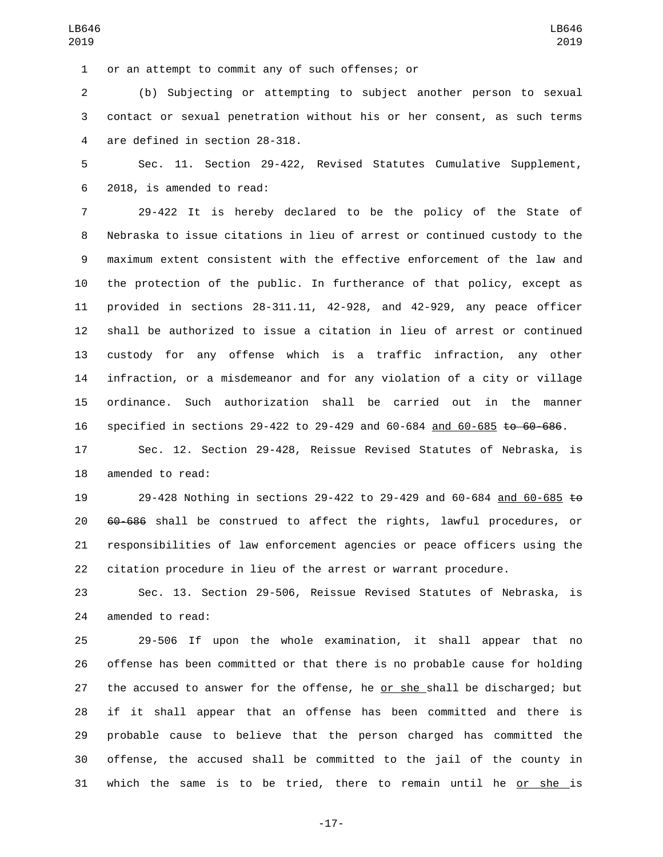or an attempt to commit any of such offenses; or1

 (b) Subjecting or attempting to subject another person to sexual contact or sexual penetration without his or her consent, as such terms 4 are defined in section 28-318.

 Sec. 11. Section 29-422, Revised Statutes Cumulative Supplement, 2018, is amended to read:6

 29-422 It is hereby declared to be the policy of the State of Nebraska to issue citations in lieu of arrest or continued custody to the maximum extent consistent with the effective enforcement of the law and the protection of the public. In furtherance of that policy, except as provided in sections 28-311.11, 42-928, and 42-929, any peace officer shall be authorized to issue a citation in lieu of arrest or continued custody for any offense which is a traffic infraction, any other infraction, or a misdemeanor and for any violation of a city or village ordinance. Such authorization shall be carried out in the manner specified in sections 29-422 to 29-429 and 60-684 and 60-685 to 60-686.

 Sec. 12. Section 29-428, Reissue Revised Statutes of Nebraska, is 18 amended to read:

 29-428 Nothing in sections 29-422 to 29-429 and 60-684 and 60-685 to 60-686 shall be construed to affect the rights, lawful procedures, or responsibilities of law enforcement agencies or peace officers using the citation procedure in lieu of the arrest or warrant procedure.

 Sec. 13. Section 29-506, Reissue Revised Statutes of Nebraska, is 24 amended to read:

 29-506 If upon the whole examination, it shall appear that no offense has been committed or that there is no probable cause for holding the accused to answer for the offense, he or she shall be discharged; but if it shall appear that an offense has been committed and there is probable cause to believe that the person charged has committed the offense, the accused shall be committed to the jail of the county in which the same is to be tried, there to remain until he or she is

-17-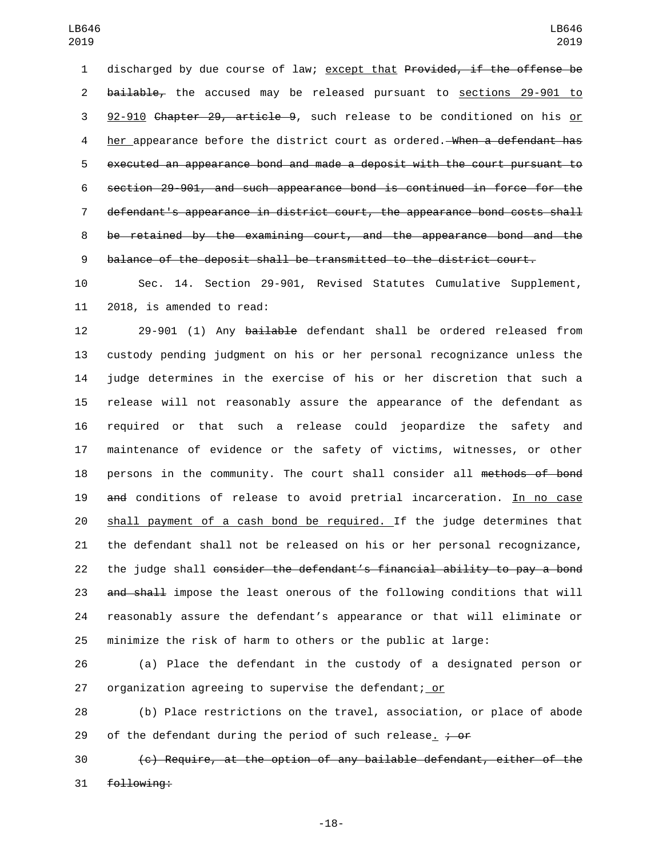discharged by due course of law; except that Provided, if the offense be 2 bailable, the accused may be released pursuant to sections 29-901 to 92-910 Chapter 29, article 9, such release to be conditioned on his or 4 her appearance before the district court as ordered. When a defendant has executed an appearance bond and made a deposit with the court pursuant to section 29-901, and such appearance bond is continued in force for the defendant's appearance in district court, the appearance bond costs shall be retained by the examining court, and the appearance bond and the balance of the deposit shall be transmitted to the district court.

 Sec. 14. Section 29-901, Revised Statutes Cumulative Supplement, 11 2018, is amended to read:

12 29-901 (1) Any bailable defendant shall be ordered released from custody pending judgment on his or her personal recognizance unless the judge determines in the exercise of his or her discretion that such a release will not reasonably assure the appearance of the defendant as required or that such a release could jeopardize the safety and maintenance of evidence or the safety of victims, witnesses, or other 18 persons in the community. The court shall consider all methods of bond and conditions of release to avoid pretrial incarceration. In no case shall payment of a cash bond be required. If the judge determines that the defendant shall not be released on his or her personal recognizance, 22 the judge shall consider the defendant's financial ability to pay a bond 23 and shall impose the least onerous of the following conditions that will reasonably assure the defendant's appearance or that will eliminate or minimize the risk of harm to others or the public at large:

 (a) Place the defendant in the custody of a designated person or organization agreeing to supervise the defendant; or

 (b) Place restrictions on the travel, association, or place of abode 29 of the defendant during the period of such release<sub>-</sub>  $\frac{1}{2}$  of

 (c) Require, at the option of any bailable defendant, either of the 31 following: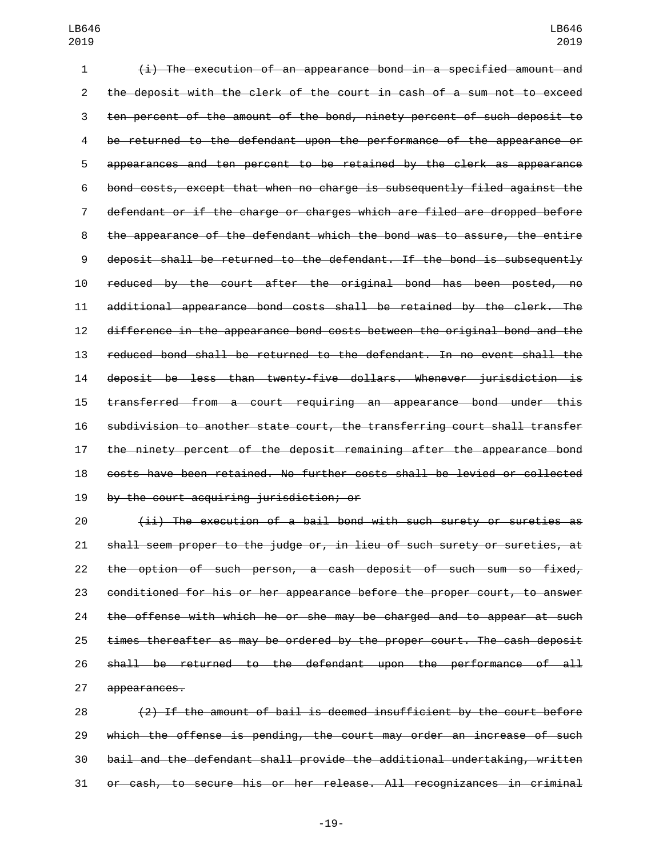(i) The execution of an appearance bond in a specified amount and the deposit with the clerk of the court in cash of a sum not to exceed ten percent of the amount of the bond, ninety percent of such deposit to be returned to the defendant upon the performance of the appearance or appearances and ten percent to be retained by the clerk as appearance bond costs, except that when no charge is subsequently filed against the defendant or if the charge or charges which are filed are dropped before the appearance of the defendant which the bond was to assure, the entire deposit shall be returned to the defendant. If the bond is subsequently reduced by the court after the original bond has been posted, no additional appearance bond costs shall be retained by the clerk. The difference in the appearance bond costs between the original bond and the reduced bond shall be returned to the defendant. In no event shall the deposit be less than twenty-five dollars. Whenever jurisdiction is transferred from a court requiring an appearance bond under this subdivision to another state court, the transferring court shall transfer the ninety percent of the deposit remaining after the appearance bond costs have been retained. No further costs shall be levied or collected 19 by the court acquiring jurisdiction; or

 (ii) The execution of a bail bond with such surety or sureties as shall seem proper to the judge or, in lieu of such surety or sureties, at the option of such person, a cash deposit of such sum so fixed, conditioned for his or her appearance before the proper court, to answer 24 the offense with which he or she may be charged and to appear at such times thereafter as may be ordered by the proper court. The cash deposit shall be returned to the defendant upon the performance of all 27 appearances.

 (2) If the amount of bail is deemed insufficient by the court before which the offense is pending, the court may order an increase of such bail and the defendant shall provide the additional undertaking, written or cash, to secure his or her release. All recognizances in criminal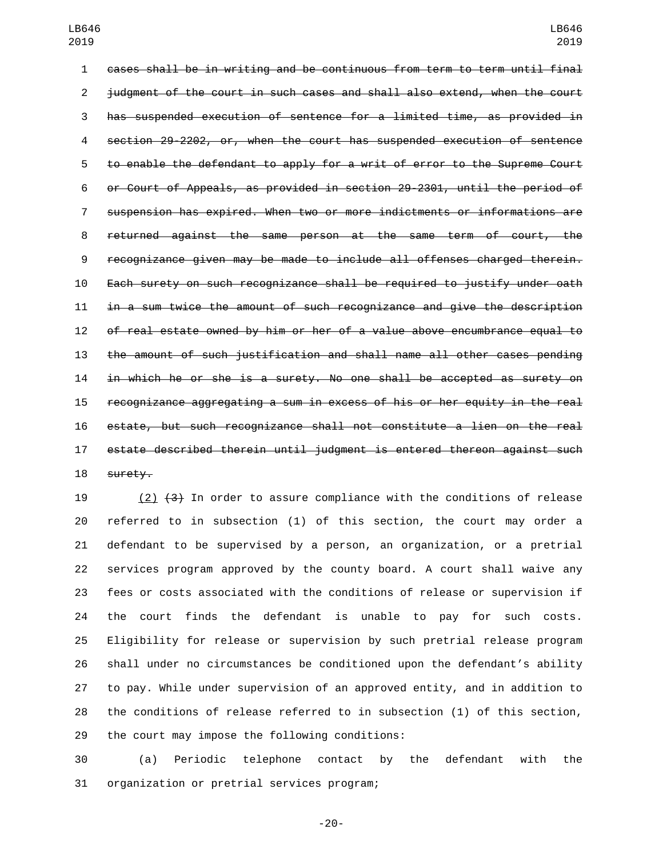cases shall be in writing and be continuous from term to term until final judgment of the court in such cases and shall also extend, when the court has suspended execution of sentence for a limited time, as provided in section 29-2202, or, when the court has suspended execution of sentence to enable the defendant to apply for a writ of error to the Supreme Court or Court of Appeals, as provided in section 29-2301, until the period of suspension has expired. When two or more indictments or informations are returned against the same person at the same term of court, the recognizance given may be made to include all offenses charged therein. Each surety on such recognizance shall be required to justify under oath in a sum twice the amount of such recognizance and give the description of real estate owned by him or her of a value above encumbrance equal to the amount of such justification and shall name all other cases pending in which he or she is a surety. No one shall be accepted as surety on recognizance aggregating a sum in excess of his or her equity in the real estate, but such recognizance shall not constitute a lien on the real estate described therein until judgment is entered thereon against such 18 surety.

19 (2)  $\{3\}$  In order to assure compliance with the conditions of release referred to in subsection (1) of this section, the court may order a defendant to be supervised by a person, an organization, or a pretrial services program approved by the county board. A court shall waive any fees or costs associated with the conditions of release or supervision if the court finds the defendant is unable to pay for such costs. Eligibility for release or supervision by such pretrial release program shall under no circumstances be conditioned upon the defendant's ability to pay. While under supervision of an approved entity, and in addition to the conditions of release referred to in subsection (1) of this section, 29 the court may impose the following conditions:

 (a) Periodic telephone contact by the defendant with the 31 organization or pretrial services program;

-20-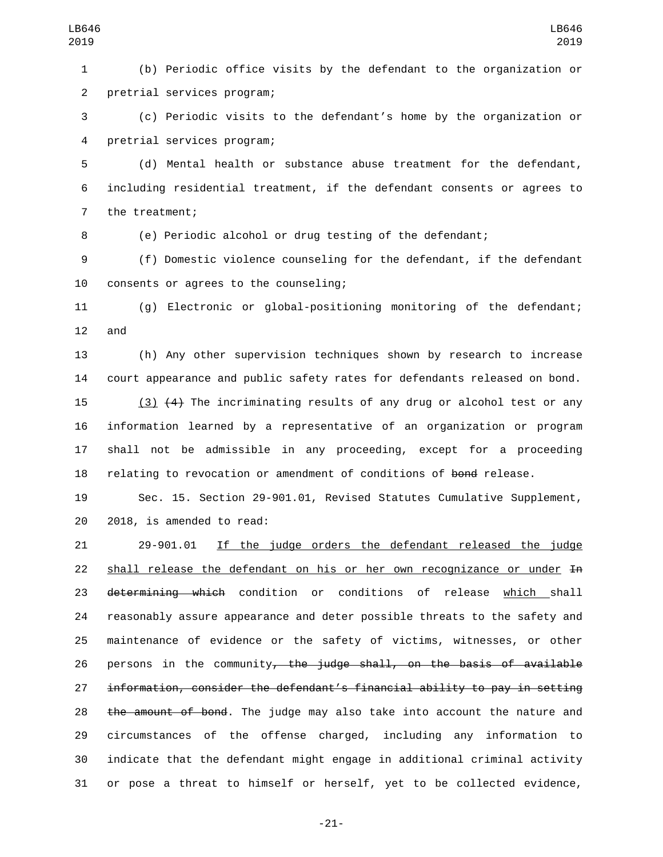(b) Periodic office visits by the defendant to the organization or 2 pretrial services program;

 (c) Periodic visits to the defendant's home by the organization or 4 pretrial services program;

 (d) Mental health or substance abuse treatment for the defendant, including residential treatment, if the defendant consents or agrees to 7 the treatment;

(e) Periodic alcohol or drug testing of the defendant;

 (f) Domestic violence counseling for the defendant, if the defendant 10 consents or agrees to the counseling;

 (g) Electronic or global-positioning monitoring of the defendant; and

 (h) Any other supervision techniques shown by research to increase court appearance and public safety rates for defendants released on bond.

 (3) (4) The incriminating results of any drug or alcohol test or any information learned by a representative of an organization or program shall not be admissible in any proceeding, except for a proceeding 18 relating to revocation or amendment of conditions of bond release.

 Sec. 15. Section 29-901.01, Revised Statutes Cumulative Supplement, 20 2018, is amended to read:

 29-901.01 If the judge orders the defendant released the judge 22 shall release the defendant on his or her own recognizance or under In 23 determining which condition or conditions of release which shall reasonably assure appearance and deter possible threats to the safety and maintenance of evidence or the safety of victims, witnesses, or other 26 persons in the community<del>, the judge shall, on the basis of available</del> information, consider the defendant's financial ability to pay in setting 28 the amount of bond. The judge may also take into account the nature and circumstances of the offense charged, including any information to indicate that the defendant might engage in additional criminal activity or pose a threat to himself or herself, yet to be collected evidence,

-21-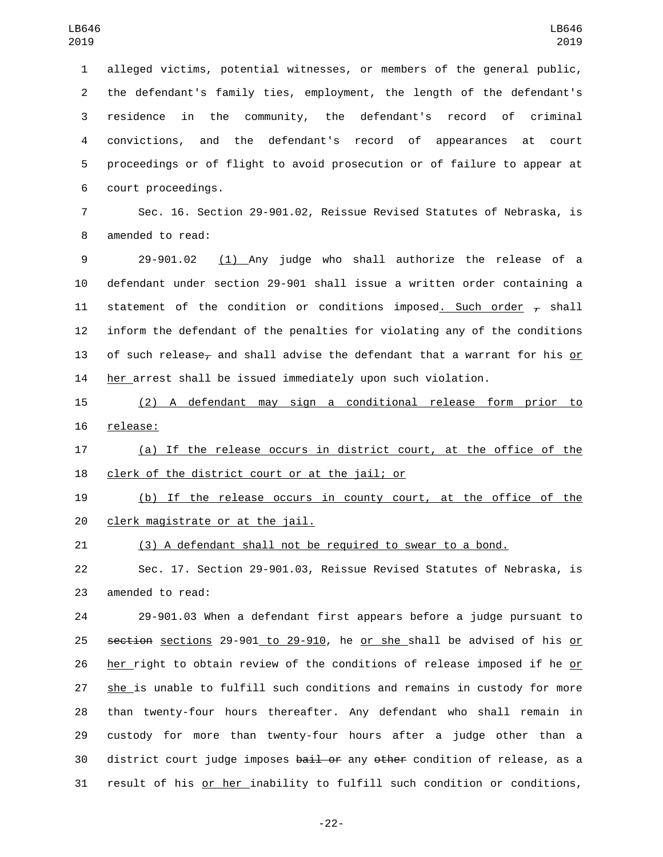alleged victims, potential witnesses, or members of the general public, the defendant's family ties, employment, the length of the defendant's residence in the community, the defendant's record of criminal convictions, and the defendant's record of appearances at court proceedings or of flight to avoid prosecution or of failure to appear at court proceedings.6

 Sec. 16. Section 29-901.02, Reissue Revised Statutes of Nebraska, is 8 amended to read:

 29-901.02 (1) Any judge who shall authorize the release of a defendant under section 29-901 shall issue a written order containing a 11 statement of the condition or conditions imposed. Such order  $\tau$  shall inform the defendant of the penalties for violating any of the conditions 13 of such release<sub> $\tau$ </sub> and shall advise the defendant that a warrant for his or her arrest shall be issued immediately upon such violation.

 (2) A defendant may sign a conditional release form prior to 16 release:

 (a) If the release occurs in district court, at the office of the 18 clerk of the district court or at the jail; or

 (b) If the release occurs in county court, at the office of the 20 clerk magistrate or at the jail.

(3) A defendant shall not be required to swear to a bond.

 Sec. 17. Section 29-901.03, Reissue Revised Statutes of Nebraska, is 23 amended to read:

 29-901.03 When a defendant first appears before a judge pursuant to section sections 29-901 to 29-910, he or she shall be advised of his or her right to obtain review of the conditions of release imposed if he or she is unable to fulfill such conditions and remains in custody for more than twenty-four hours thereafter. Any defendant who shall remain in custody for more than twenty-four hours after a judge other than a 30 district court judge imposes bail or any other condition of release, as a result of his or her inability to fulfill such condition or conditions,

-22-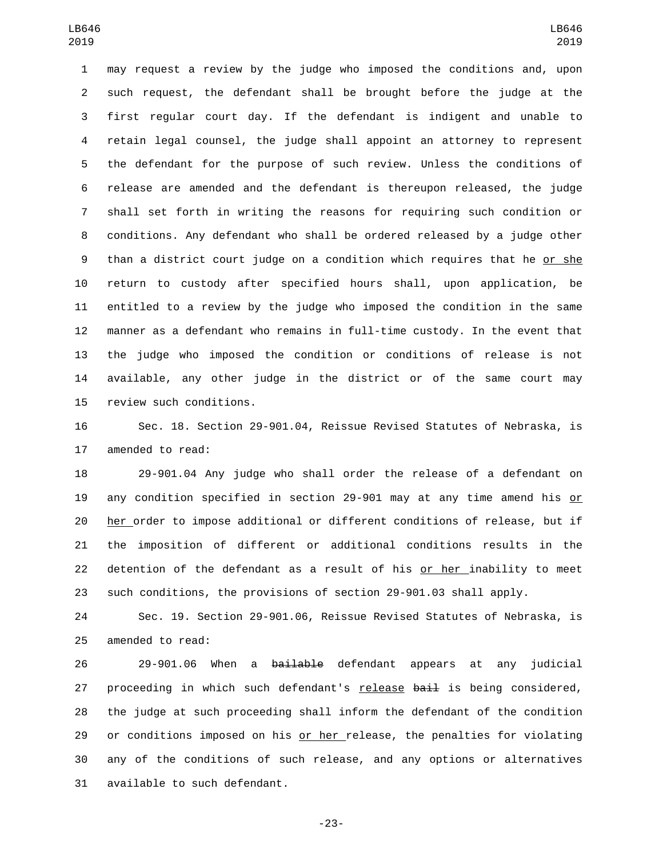may request a review by the judge who imposed the conditions and, upon such request, the defendant shall be brought before the judge at the first regular court day. If the defendant is indigent and unable to retain legal counsel, the judge shall appoint an attorney to represent the defendant for the purpose of such review. Unless the conditions of release are amended and the defendant is thereupon released, the judge shall set forth in writing the reasons for requiring such condition or conditions. Any defendant who shall be ordered released by a judge other than a district court judge on a condition which requires that he or she return to custody after specified hours shall, upon application, be entitled to a review by the judge who imposed the condition in the same manner as a defendant who remains in full-time custody. In the event that the judge who imposed the condition or conditions of release is not available, any other judge in the district or of the same court may 15 review such conditions.

 Sec. 18. Section 29-901.04, Reissue Revised Statutes of Nebraska, is 17 amended to read:

 29-901.04 Any judge who shall order the release of a defendant on 19 any condition specified in section 29-901 may at any time amend his or her order to impose additional or different conditions of release, but if the imposition of different or additional conditions results in the detention of the defendant as a result of his or her inability to meet such conditions, the provisions of section 29-901.03 shall apply.

 Sec. 19. Section 29-901.06, Reissue Revised Statutes of Nebraska, is 25 amended to read:

26 29-901.06 When a <del>bailable</del> defendant appears at any judicial 27 proceeding in which such defendant's release bail is being considered, the judge at such proceeding shall inform the defendant of the condition 29 or conditions imposed on his or her release, the penalties for violating any of the conditions of such release, and any options or alternatives 31 available to such defendant.

-23-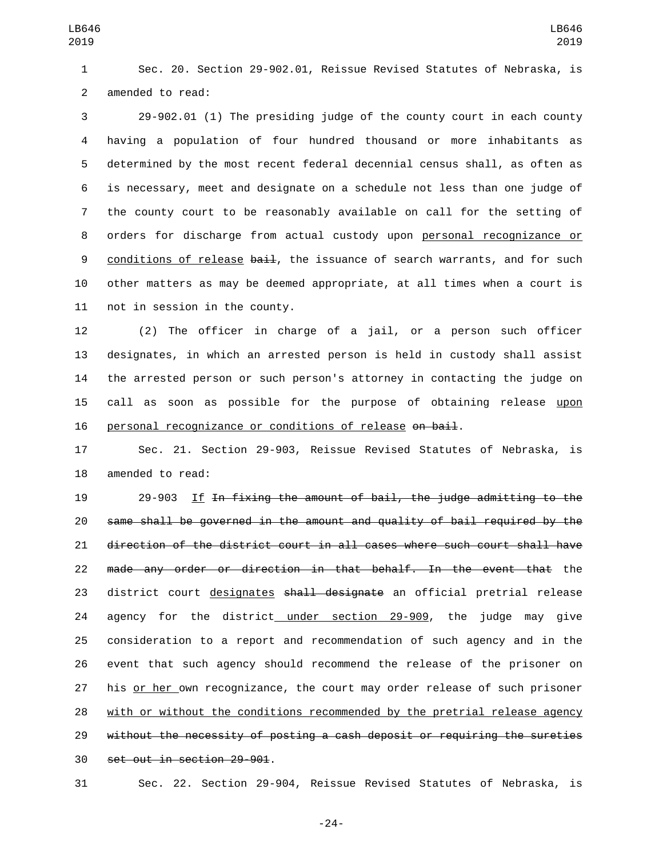Sec. 20. Section 29-902.01, Reissue Revised Statutes of Nebraska, is 2 amended to read:

 29-902.01 (1) The presiding judge of the county court in each county having a population of four hundred thousand or more inhabitants as determined by the most recent federal decennial census shall, as often as is necessary, meet and designate on a schedule not less than one judge of the county court to be reasonably available on call for the setting of orders for discharge from actual custody upon personal recognizance or 9 conditions of release bail, the issuance of search warrants, and for such other matters as may be deemed appropriate, at all times when a court is 11 not in session in the county.

 (2) The officer in charge of a jail, or a person such officer designates, in which an arrested person is held in custody shall assist the arrested person or such person's attorney in contacting the judge on call as soon as possible for the purpose of obtaining release upon 16 personal recognizance or conditions of release on bail.

 Sec. 21. Section 29-903, Reissue Revised Statutes of Nebraska, is 18 amended to read:

 29-903 If In fixing the amount of bail, the judge admitting to the same shall be governed in the amount and quality of bail required by the direction of the district court in all cases where such court shall have made any order or direction in that behalf. In the event that the 23 district court designates shall designate an official pretrial release 24 agency for the district under section 29-909, the judge may give consideration to a report and recommendation of such agency and in the event that such agency should recommend the release of the prisoner on 27 his or her own recognizance, the court may order release of such prisoner with or without the conditions recommended by the pretrial release agency without the necessity of posting a cash deposit or requiring the sureties 30 set out in section 29-901.

Sec. 22. Section 29-904, Reissue Revised Statutes of Nebraska, is

-24-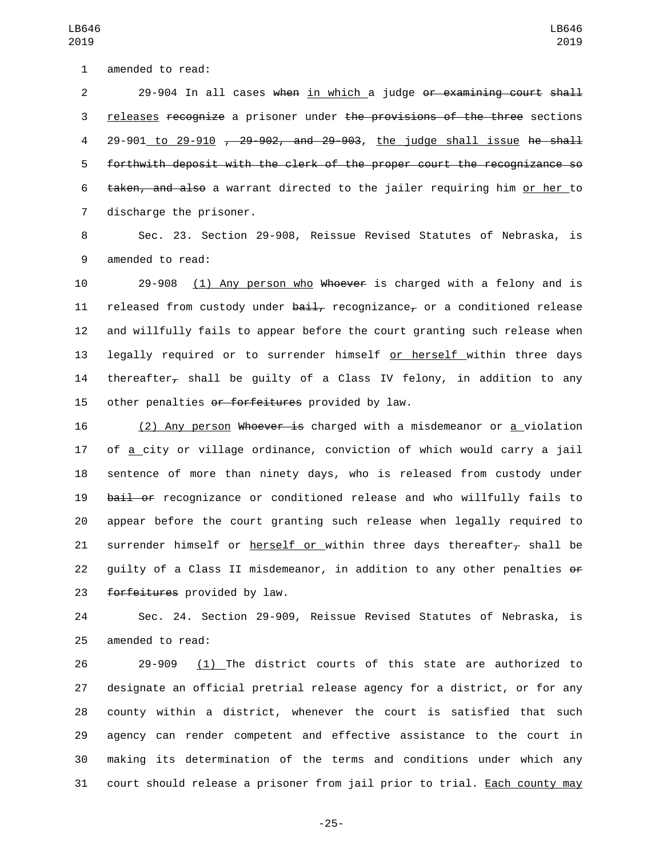1 amended to read:

2 29-904 In all cases when in which a judge or examining court shall 3 releases recognize a prisoner under the provisions of the three sections 4 29-901 to 29-910 , 29-902, and 29-903, the judge shall issue he shall 5 forthwith deposit with the clerk of the proper court the recognizance so 6 taken, and also a warrant directed to the jailer requiring him or her to 7 discharge the prisoner.

8 Sec. 23. Section 29-908, Reissue Revised Statutes of Nebraska, is 9 amended to read:

10 29-908 (1) Any person who Whoever is charged with a felony and is 11 released from custody under  $\frac{\partial u}{\partial x}$  recognizance, or a conditioned release 12 and willfully fails to appear before the court granting such release when 13 legally required or to surrender himself or herself within three days 14 thereafter<sub> $\tau$ </sub> shall be quilty of a Class IV felony, in addition to any 15 other penalties or forfeitures provided by law.

16 (2) Any person Whoever is charged with a misdemeanor or a violation 17 of a city or village ordinance, conviction of which would carry a jail 18 sentence of more than ninety days, who is released from custody under 19 bail or recognizance or conditioned release and who willfully fails to 20 appear before the court granting such release when legally required to 21 surrender himself or herself or within three days thereafter<sub>r</sub> shall be 22 guilty of a Class II misdemeanor, in addition to any other penalties or 23 forfeitures provided by law.

24 Sec. 24. Section 29-909, Reissue Revised Statutes of Nebraska, is 25 amended to read:

 29-909 (1) The district courts of this state are authorized to designate an official pretrial release agency for a district, or for any county within a district, whenever the court is satisfied that such agency can render competent and effective assistance to the court in making its determination of the terms and conditions under which any court should release a prisoner from jail prior to trial. Each county may

LB646 2019

-25-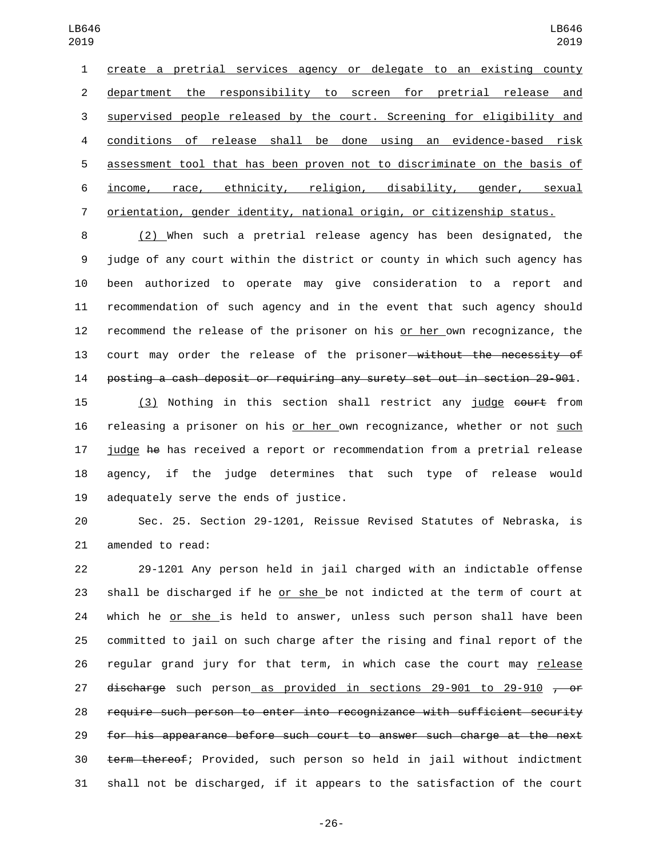create a pretrial services agency or delegate to an existing county department the responsibility to screen for pretrial release and supervised people released by the court. Screening for eligibility and conditions of release shall be done using an evidence-based risk assessment tool that has been proven not to discriminate on the basis of income, race, ethnicity, religion, disability, gender, sexual orientation, gender identity, national origin, or citizenship status.

 (2) When such a pretrial release agency has been designated, the judge of any court within the district or county in which such agency has been authorized to operate may give consideration to a report and recommendation of such agency and in the event that such agency should recommend the release of the prisoner on his or her own recognizance, the 13 court may order the release of the prisoner—without the necessity of posting a cash deposit or requiring any surety set out in section 29-901.

 (3) Nothing in this section shall restrict any judge court from releasing a prisoner on his or her own recognizance, whether or not such judge he has received a report or recommendation from a pretrial release agency, if the judge determines that such type of release would 19 adequately serve the ends of justice.

 Sec. 25. Section 29-1201, Reissue Revised Statutes of Nebraska, is 21 amended to read:

 29-1201 Any person held in jail charged with an indictable offense shall be discharged if he or she be not indicted at the term of court at which he or she is held to answer, unless such person shall have been committed to jail on such charge after the rising and final report of the 26 regular grand jury for that term, in which case the court may release  $\frac{discharge}{f}$  such person as provided in sections 29-901 to 29-910  $\frac{f}{f}$  or require such person to enter into recognizance with sufficient security for his appearance before such court to answer such charge at the next term thereof; Provided, such person so held in jail without indictment shall not be discharged, if it appears to the satisfaction of the court

-26-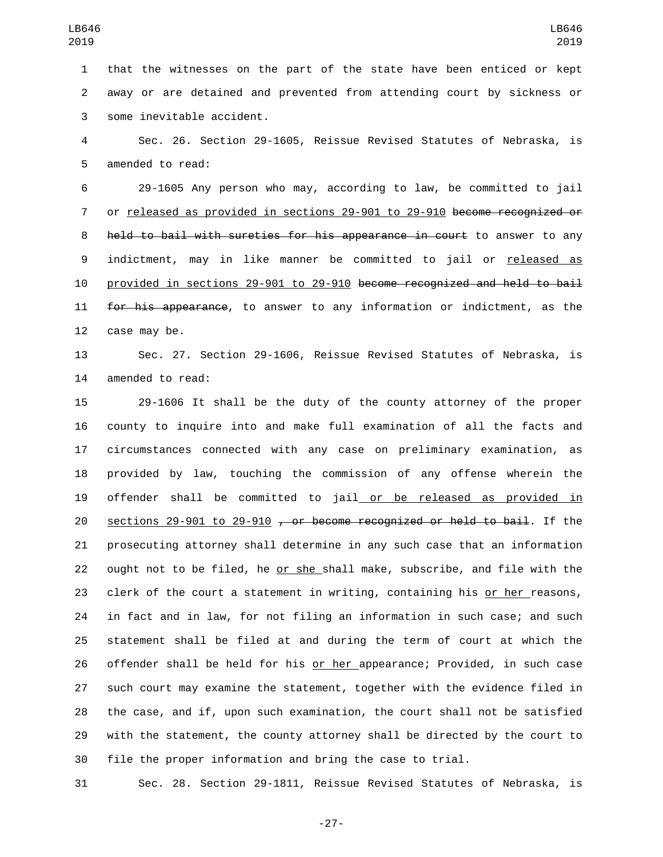that the witnesses on the part of the state have been enticed or kept away or are detained and prevented from attending court by sickness or 3 some inevitable accident.

 Sec. 26. Section 29-1605, Reissue Revised Statutes of Nebraska, is 5 amended to read:

 29-1605 Any person who may, according to law, be committed to jail or released as provided in sections 29-901 to 29-910 become recognized or 8 held to bail with sureties for his appearance in court to answer to any indictment, may in like manner be committed to jail or released as provided in sections 29-901 to 29-910 become recognized and held to bail 11 for his appearance, to answer to any information or indictment, as the 12 case may be.

 Sec. 27. Section 29-1606, Reissue Revised Statutes of Nebraska, is 14 amended to read:

 29-1606 It shall be the duty of the county attorney of the proper county to inquire into and make full examination of all the facts and circumstances connected with any case on preliminary examination, as provided by law, touching the commission of any offense wherein the offender shall be committed to jail or be released as provided in sections 29-901 to 29-910 , or become recognized or held to bail. If the prosecuting attorney shall determine in any such case that an information 22 ought not to be filed, he or she shall make, subscribe, and file with the clerk of the court a statement in writing, containing his or her reasons, in fact and in law, for not filing an information in such case; and such statement shall be filed at and during the term of court at which the offender shall be held for his or her appearance; Provided, in such case such court may examine the statement, together with the evidence filed in the case, and if, upon such examination, the court shall not be satisfied with the statement, the county attorney shall be directed by the court to file the proper information and bring the case to trial.

Sec. 28. Section 29-1811, Reissue Revised Statutes of Nebraska, is

-27-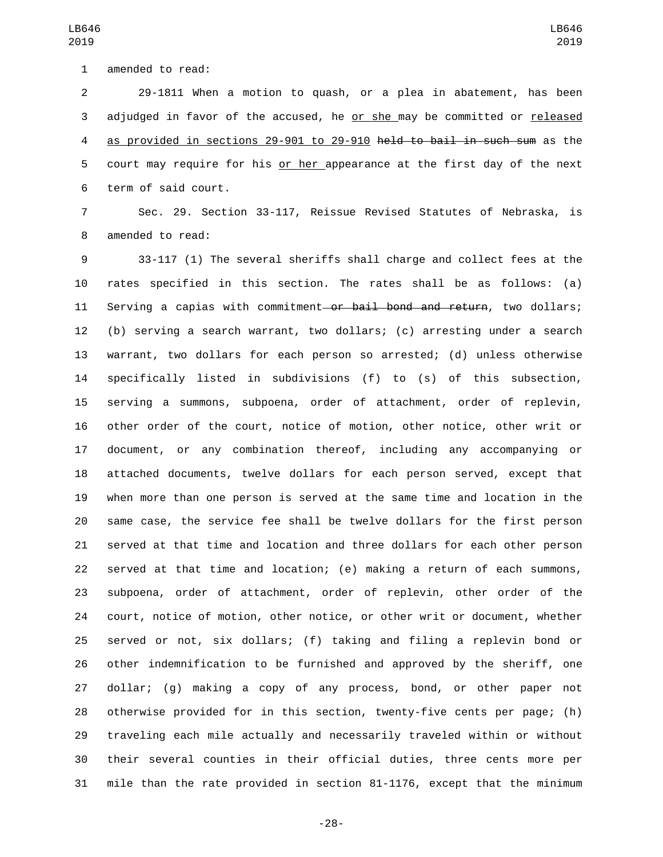1 amended to read:

 29-1811 When a motion to quash, or a plea in abatement, has been adjudged in favor of the accused, he or she may be committed or released as provided in sections 29-901 to 29-910 held to bail in such sum as the court may require for his or her appearance at the first day of the next 6 term of said court.

 Sec. 29. Section 33-117, Reissue Revised Statutes of Nebraska, is 8 amended to read:

 33-117 (1) The several sheriffs shall charge and collect fees at the rates specified in this section. The rates shall be as follows: (a) 11 Serving a capias with commitment or bail bond and return, two dollars; (b) serving a search warrant, two dollars; (c) arresting under a search warrant, two dollars for each person so arrested; (d) unless otherwise specifically listed in subdivisions (f) to (s) of this subsection, serving a summons, subpoena, order of attachment, order of replevin, other order of the court, notice of motion, other notice, other writ or document, or any combination thereof, including any accompanying or attached documents, twelve dollars for each person served, except that when more than one person is served at the same time and location in the same case, the service fee shall be twelve dollars for the first person served at that time and location and three dollars for each other person served at that time and location; (e) making a return of each summons, subpoena, order of attachment, order of replevin, other order of the court, notice of motion, other notice, or other writ or document, whether served or not, six dollars; (f) taking and filing a replevin bond or other indemnification to be furnished and approved by the sheriff, one dollar; (g) making a copy of any process, bond, or other paper not otherwise provided for in this section, twenty-five cents per page; (h) traveling each mile actually and necessarily traveled within or without their several counties in their official duties, three cents more per mile than the rate provided in section 81-1176, except that the minimum

LB646 

-28-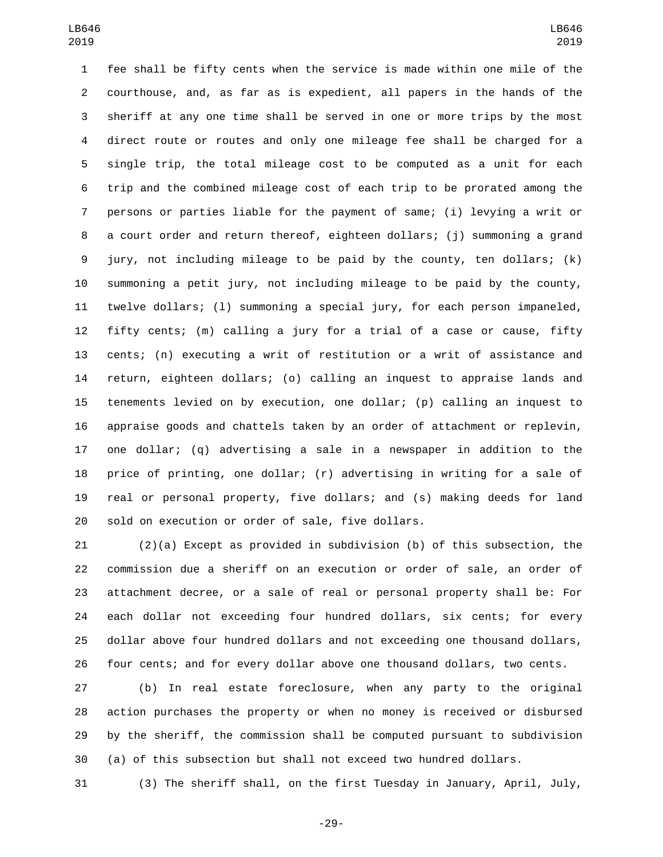fee shall be fifty cents when the service is made within one mile of the courthouse, and, as far as is expedient, all papers in the hands of the sheriff at any one time shall be served in one or more trips by the most direct route or routes and only one mileage fee shall be charged for a single trip, the total mileage cost to be computed as a unit for each trip and the combined mileage cost of each trip to be prorated among the persons or parties liable for the payment of same; (i) levying a writ or a court order and return thereof, eighteen dollars; (j) summoning a grand jury, not including mileage to be paid by the county, ten dollars; (k) summoning a petit jury, not including mileage to be paid by the county, twelve dollars; (l) summoning a special jury, for each person impaneled, fifty cents; (m) calling a jury for a trial of a case or cause, fifty cents; (n) executing a writ of restitution or a writ of assistance and return, eighteen dollars; (o) calling an inquest to appraise lands and tenements levied on by execution, one dollar; (p) calling an inquest to appraise goods and chattels taken by an order of attachment or replevin, one dollar; (q) advertising a sale in a newspaper in addition to the price of printing, one dollar; (r) advertising in writing for a sale of real or personal property, five dollars; and (s) making deeds for land 20 sold on execution or order of sale, five dollars.

 (2)(a) Except as provided in subdivision (b) of this subsection, the commission due a sheriff on an execution or order of sale, an order of attachment decree, or a sale of real or personal property shall be: For each dollar not exceeding four hundred dollars, six cents; for every dollar above four hundred dollars and not exceeding one thousand dollars, four cents; and for every dollar above one thousand dollars, two cents.

 (b) In real estate foreclosure, when any party to the original action purchases the property or when no money is received or disbursed by the sheriff, the commission shall be computed pursuant to subdivision (a) of this subsection but shall not exceed two hundred dollars.

(3) The sheriff shall, on the first Tuesday in January, April, July,

-29-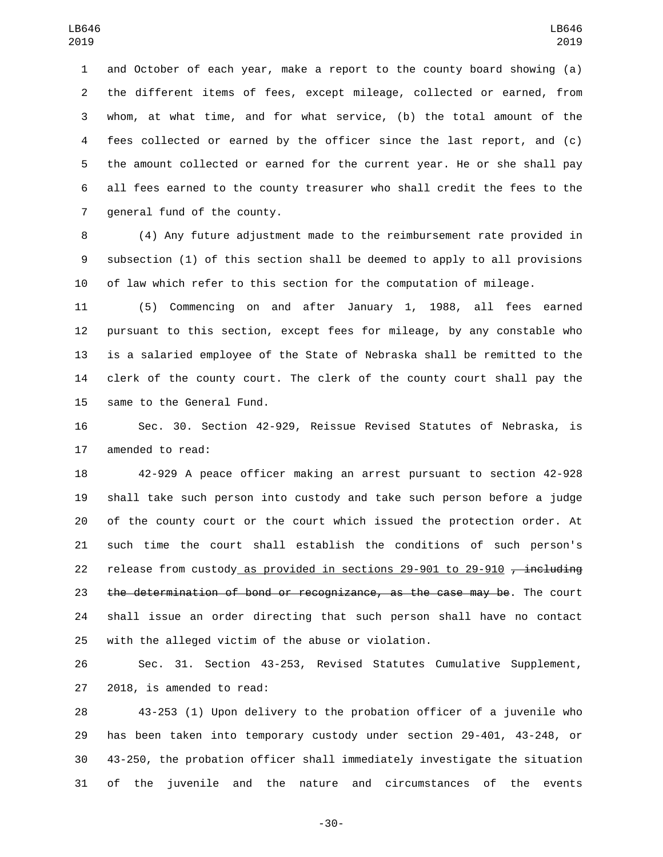and October of each year, make a report to the county board showing (a) the different items of fees, except mileage, collected or earned, from whom, at what time, and for what service, (b) the total amount of the fees collected or earned by the officer since the last report, and (c) the amount collected or earned for the current year. He or she shall pay all fees earned to the county treasurer who shall credit the fees to the 7 general fund of the county.

 (4) Any future adjustment made to the reimbursement rate provided in subsection (1) of this section shall be deemed to apply to all provisions of law which refer to this section for the computation of mileage.

 (5) Commencing on and after January 1, 1988, all fees earned pursuant to this section, except fees for mileage, by any constable who is a salaried employee of the State of Nebraska shall be remitted to the clerk of the county court. The clerk of the county court shall pay the 15 same to the General Fund.

 Sec. 30. Section 42-929, Reissue Revised Statutes of Nebraska, is 17 amended to read:

 42-929 A peace officer making an arrest pursuant to section 42-928 shall take such person into custody and take such person before a judge of the county court or the court which issued the protection order. At such time the court shall establish the conditions of such person's 22 release from custody as provided in sections  $29-901$  to  $29-910$  , including 23 the determination of bond or recognizance, as the case may be. The court shall issue an order directing that such person shall have no contact with the alleged victim of the abuse or violation.

 Sec. 31. Section 43-253, Revised Statutes Cumulative Supplement,  $2018$ , is amended to read:

 43-253 (1) Upon delivery to the probation officer of a juvenile who has been taken into temporary custody under section 29-401, 43-248, or 43-250, the probation officer shall immediately investigate the situation of the juvenile and the nature and circumstances of the events

-30-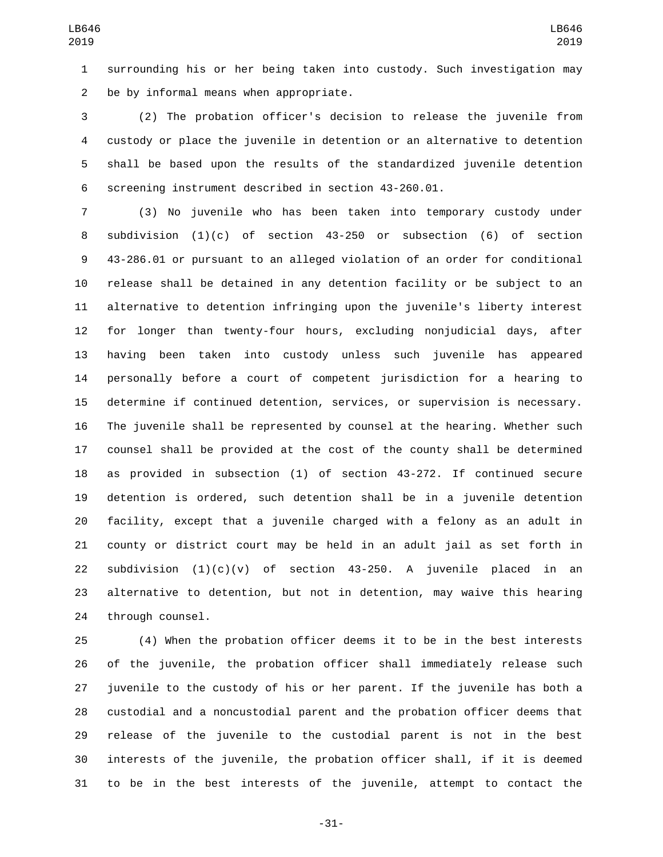surrounding his or her being taken into custody. Such investigation may 2 be by informal means when appropriate.

 (2) The probation officer's decision to release the juvenile from custody or place the juvenile in detention or an alternative to detention shall be based upon the results of the standardized juvenile detention screening instrument described in section 43-260.01.

 (3) No juvenile who has been taken into temporary custody under subdivision (1)(c) of section 43-250 or subsection (6) of section 43-286.01 or pursuant to an alleged violation of an order for conditional release shall be detained in any detention facility or be subject to an alternative to detention infringing upon the juvenile's liberty interest for longer than twenty-four hours, excluding nonjudicial days, after having been taken into custody unless such juvenile has appeared personally before a court of competent jurisdiction for a hearing to determine if continued detention, services, or supervision is necessary. The juvenile shall be represented by counsel at the hearing. Whether such counsel shall be provided at the cost of the county shall be determined as provided in subsection (1) of section 43-272. If continued secure detention is ordered, such detention shall be in a juvenile detention facility, except that a juvenile charged with a felony as an adult in county or district court may be held in an adult jail as set forth in 22 subdivision  $(1)(c)(v)$  of section 43-250. A juvenile placed in an alternative to detention, but not in detention, may waive this hearing 24 through counsel.

 (4) When the probation officer deems it to be in the best interests of the juvenile, the probation officer shall immediately release such juvenile to the custody of his or her parent. If the juvenile has both a custodial and a noncustodial parent and the probation officer deems that release of the juvenile to the custodial parent is not in the best interests of the juvenile, the probation officer shall, if it is deemed to be in the best interests of the juvenile, attempt to contact the

-31-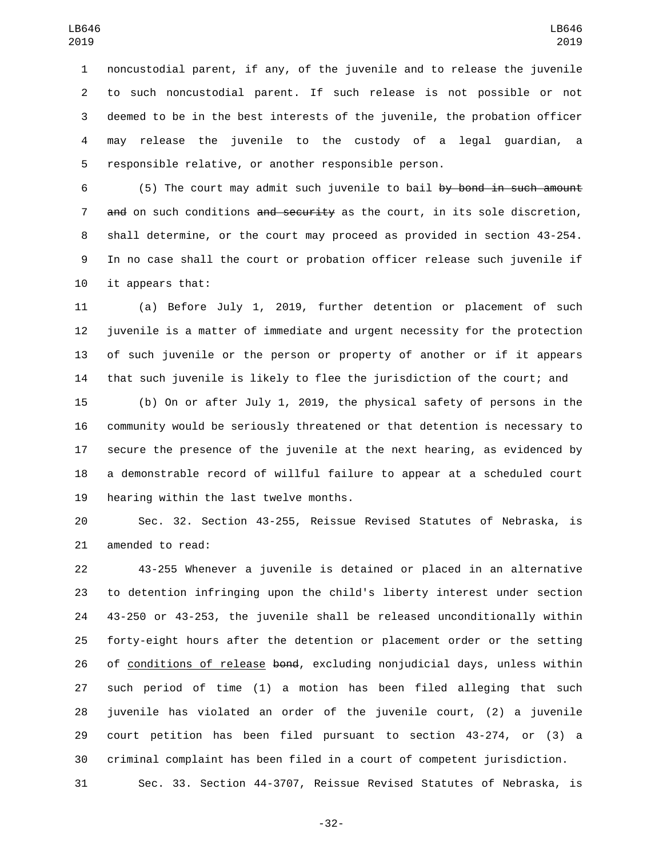noncustodial parent, if any, of the juvenile and to release the juvenile to such noncustodial parent. If such release is not possible or not deemed to be in the best interests of the juvenile, the probation officer may release the juvenile to the custody of a legal guardian, a responsible relative, or another responsible person.

 (5) The court may admit such juvenile to bail by bond in such amount 7 and on such conditions and security as the court, in its sole discretion, shall determine, or the court may proceed as provided in section 43-254. In no case shall the court or probation officer release such juvenile if 10 it appears that:

 (a) Before July 1, 2019, further detention or placement of such juvenile is a matter of immediate and urgent necessity for the protection of such juvenile or the person or property of another or if it appears that such juvenile is likely to flee the jurisdiction of the court; and

 (b) On or after July 1, 2019, the physical safety of persons in the community would be seriously threatened or that detention is necessary to secure the presence of the juvenile at the next hearing, as evidenced by a demonstrable record of willful failure to appear at a scheduled court 19 hearing within the last twelve months.

 Sec. 32. Section 43-255, Reissue Revised Statutes of Nebraska, is 21 amended to read:

 43-255 Whenever a juvenile is detained or placed in an alternative to detention infringing upon the child's liberty interest under section 43-250 or 43-253, the juvenile shall be released unconditionally within forty-eight hours after the detention or placement order or the setting 26 of conditions of release bond, excluding nonjudicial days, unless within such period of time (1) a motion has been filed alleging that such juvenile has violated an order of the juvenile court, (2) a juvenile court petition has been filed pursuant to section 43-274, or (3) a criminal complaint has been filed in a court of competent jurisdiction.

Sec. 33. Section 44-3707, Reissue Revised Statutes of Nebraska, is

-32-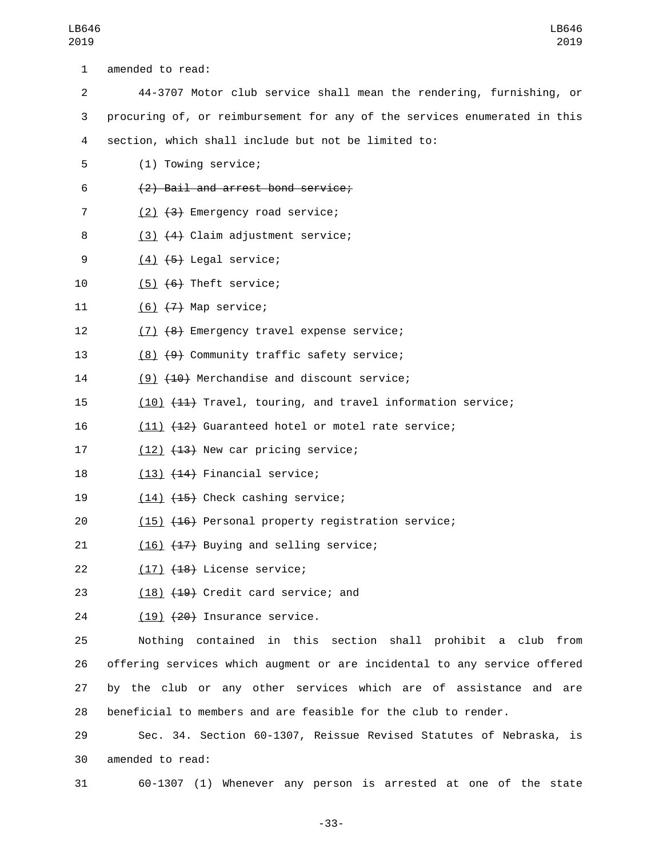| 1              | amended to read:                                                          |
|----------------|---------------------------------------------------------------------------|
| 2              | 44-3707 Motor club service shall mean the rendering, furnishing, or       |
| 3              | procuring of, or reimbursement for any of the services enumerated in this |
| 4              | section, which shall include but not be limited to:                       |
| 5              | (1) Towing service;                                                       |
| 6              | (2) Bail and arrest bond service;                                         |
| $\overline{7}$ | $(2)$ $(3)$ Emergency road service;                                       |
| 8              | (3) (4) Claim adjustment service;                                         |
| 9              | $(4)$ $(5)$ Legal service;                                                |
| 10             | $(5)$ $(6)$ Theft service;                                                |
| 11             | $(6)$ $(7)$ Map service;                                                  |
| 12             | (7) (8) Emergency travel expense service;                                 |
| 13             | (8) (9) Community traffic safety service;                                 |
| 14             | (9) (10) Merchandise and discount service;                                |
| 15             | (10) (11) Travel, touring, and travel information service;                |
| 16             | (11) (12) Guaranteed hotel or motel rate service;                         |
| 17             | (12) (13) New car pricing service;                                        |
| 18             | $(13)$ $(14)$ Financial service;                                          |
| 19             | $(14)$ $(15)$ Check cashing service;                                      |
| 20             | (15) (16) Personal property registration service;                         |
| 21             | $(16)$ $(17)$ Buying and selling service;                                 |
| 22             | $(17)$ $(18)$ License service;                                            |
| 23             | $(18)$ $(19)$ Credit card service; and                                    |
| 24             | $(19)$ $(20)$ Insurance service.                                          |
| 25             | Nothing contained in this section shall prohibit a club from              |
| 26             | offering services which augment or are incidental to any service offered  |
| 27             | by the club or any other services which are of assistance and are         |
| 28             | beneficial to members and are feasible for the club to render.            |
| 29             | Sec. 34. Section 60-1307, Reissue Revised Statutes of Nebraska, is        |
| 30             | amended to read:                                                          |

31 60-1307 (1) Whenever any person is arrested at one of the state

-33-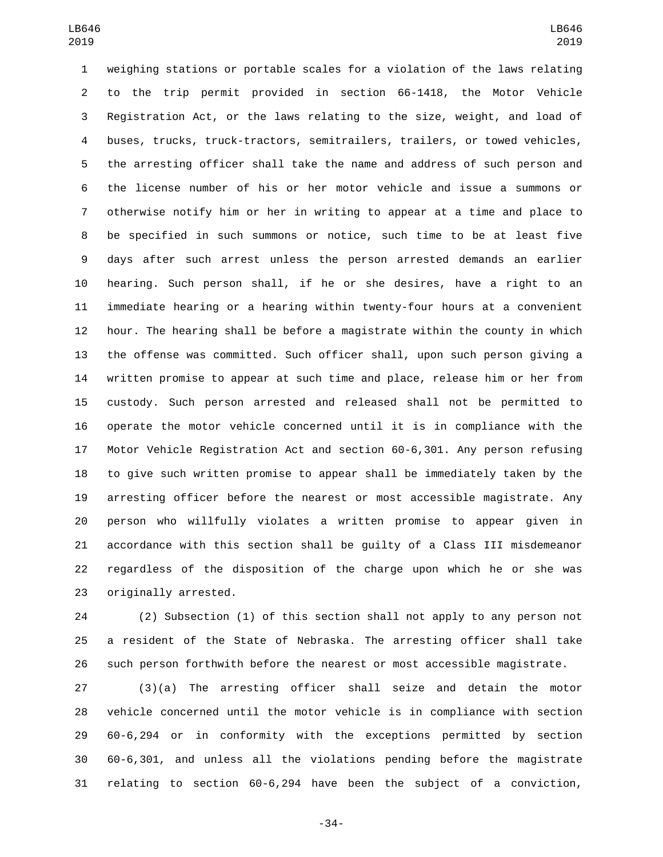weighing stations or portable scales for a violation of the laws relating to the trip permit provided in section 66-1418, the Motor Vehicle Registration Act, or the laws relating to the size, weight, and load of buses, trucks, truck-tractors, semitrailers, trailers, or towed vehicles, the arresting officer shall take the name and address of such person and the license number of his or her motor vehicle and issue a summons or otherwise notify him or her in writing to appear at a time and place to be specified in such summons or notice, such time to be at least five days after such arrest unless the person arrested demands an earlier hearing. Such person shall, if he or she desires, have a right to an immediate hearing or a hearing within twenty-four hours at a convenient hour. The hearing shall be before a magistrate within the county in which the offense was committed. Such officer shall, upon such person giving a written promise to appear at such time and place, release him or her from custody. Such person arrested and released shall not be permitted to operate the motor vehicle concerned until it is in compliance with the Motor Vehicle Registration Act and section 60-6,301. Any person refusing to give such written promise to appear shall be immediately taken by the arresting officer before the nearest or most accessible magistrate. Any person who willfully violates a written promise to appear given in accordance with this section shall be guilty of a Class III misdemeanor regardless of the disposition of the charge upon which he or she was 23 originally arrested.

 (2) Subsection (1) of this section shall not apply to any person not a resident of the State of Nebraska. The arresting officer shall take such person forthwith before the nearest or most accessible magistrate.

 (3)(a) The arresting officer shall seize and detain the motor vehicle concerned until the motor vehicle is in compliance with section 60-6,294 or in conformity with the exceptions permitted by section 60-6,301, and unless all the violations pending before the magistrate relating to section 60-6,294 have been the subject of a conviction,

-34-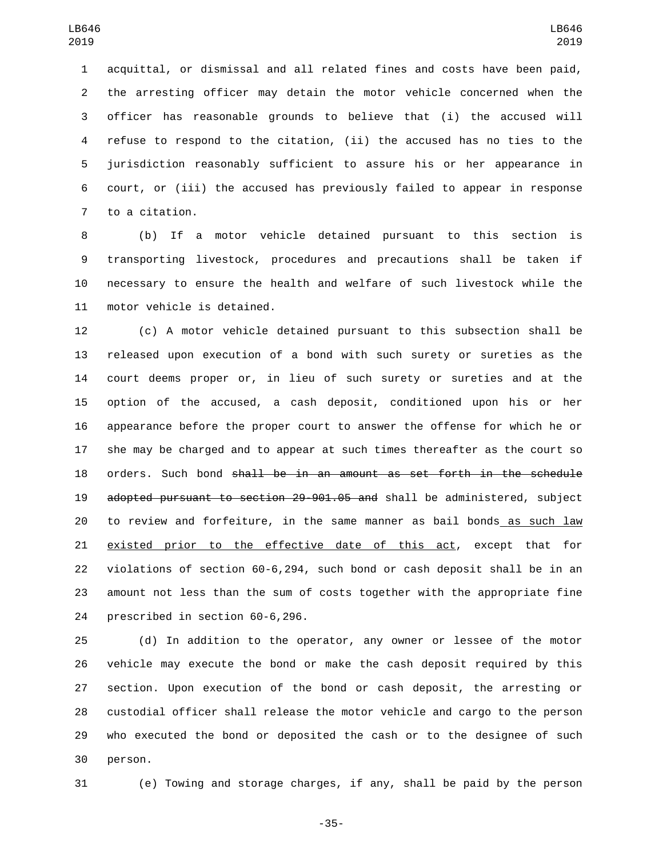acquittal, or dismissal and all related fines and costs have been paid, the arresting officer may detain the motor vehicle concerned when the officer has reasonable grounds to believe that (i) the accused will refuse to respond to the citation, (ii) the accused has no ties to the jurisdiction reasonably sufficient to assure his or her appearance in court, or (iii) the accused has previously failed to appear in response 7 to a citation.

 (b) If a motor vehicle detained pursuant to this section is transporting livestock, procedures and precautions shall be taken if necessary to ensure the health and welfare of such livestock while the 11 motor vehicle is detained.

 (c) A motor vehicle detained pursuant to this subsection shall be released upon execution of a bond with such surety or sureties as the court deems proper or, in lieu of such surety or sureties and at the option of the accused, a cash deposit, conditioned upon his or her appearance before the proper court to answer the offense for which he or she may be charged and to appear at such times thereafter as the court so orders. Such bond shall be in an amount as set forth in the schedule adopted pursuant to section 29-901.05 and shall be administered, subject to review and forfeiture, in the same manner as bail bonds as such law existed prior to the effective date of this act, except that for violations of section 60-6,294, such bond or cash deposit shall be in an amount not less than the sum of costs together with the appropriate fine 24 prescribed in section 60-6,296.

 (d) In addition to the operator, any owner or lessee of the motor vehicle may execute the bond or make the cash deposit required by this section. Upon execution of the bond or cash deposit, the arresting or custodial officer shall release the motor vehicle and cargo to the person who executed the bond or deposited the cash or to the designee of such 30 person.

(e) Towing and storage charges, if any, shall be paid by the person

-35-